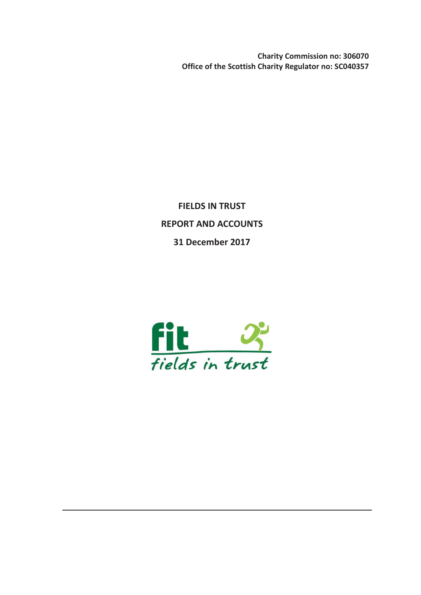**Charity Commission no: 306070 Office of the Scottish Charity Regulator no: SC040357**

**FIELDS IN TRUST REPORT AND ACCOUNTS 31 December 2017** 

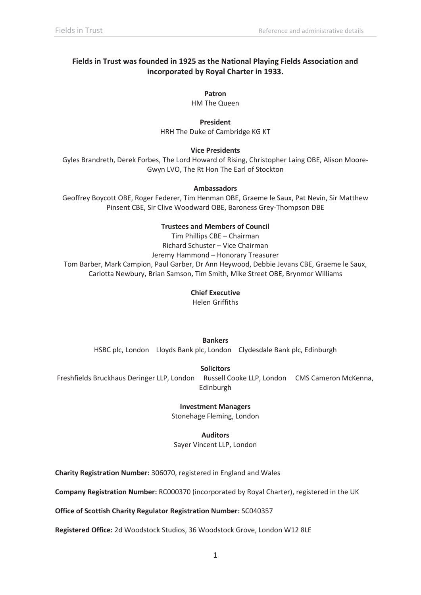#### **Fields in Trust was founded in 1925 as the National Playing Fields Association and incorporated by Royal Charter in 1933.**

#### **Patron**

HM The Queen

**President**  HRH The Duke of Cambridge KG KT

**Vice Presidents** 

Gyles Brandreth, Derek Forbes, The Lord Howard of Rising, Christopher Laing OBE, Alison Moore-Gwyn LVO, The Rt Hon The Earl of Stockton

**Ambassadors** 

Geoffrey Boycott OBE, Roger Federer, Tim Henman OBE, Graeme le Saux, Pat Nevin, Sir Matthew Pinsent CBE, Sir Clive Woodward OBE, Baroness Grey-Thompson DBE

**Trustees and Members of Council** 

Tim Phillips CBE – Chairman Richard Schuster – Vice Chairman Jeremy Hammond – Honorary Treasurer Tom Barber, Mark Campion, Paul Garber, Dr Ann Heywood, Debbie Jevans CBE, Graeme le Saux, Carlotta Newbury, Brian Samson, Tim Smith, Mike Street OBE, Brynmor Williams

#### **Chief Executive**

Helen Griffiths

**Bankers**  HSBC plc, London Lloyds Bank plc, London Clydesdale Bank plc, Edinburgh

**Solicitors** 

Freshfields Bruckhaus Deringer LLP, London Russell Cooke LLP, London CMS Cameron McKenna, Edinburgh

**Investment Managers** 

Stonehage Fleming, London

**Auditors** 

Sayer Vincent LLP, London

**Charity Registration Number:** 306070, registered in England and Wales

**Company Registration Number:** RC000370 (incorporated by Royal Charter), registered in the UK

**Office of Scottish Charity Regulator Registration Number:** SC040357

**Registered Office:** 2d Woodstock Studios, 36 Woodstock Grove, London W12 8LE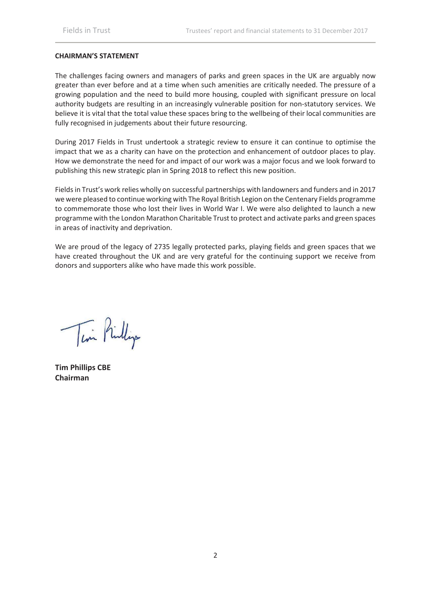#### **CHAIRMAN'S STATEMENT**

The challenges facing owners and managers of parks and green spaces in the UK are arguably now greater than ever before and at a time when such amenities are critically needed. The pressure of a growing population and the need to build more housing, coupled with significant pressure on local authority budgets are resulting in an increasingly vulnerable position for non-statutory services. We believe it is vital that the total value these spaces bring to the wellbeing of their local communities are fully recognised in judgements about their future resourcing.

During 2017 Fields in Trust undertook a strategic review to ensure it can continue to optimise the impact that we as a charity can have on the protection and enhancement of outdoor places to play. How we demonstrate the need for and impact of our work was a major focus and we look forward to publishing this new strategic plan in Spring 2018 to reflect this new position.

Fields in Trust's work relies wholly on successful partnerships with landowners and funders and in 2017 we were pleased to continue working with The Royal British Legion on the Centenary Fields programme to commemorate those who lost their lives in World War I. We were also delighted to launch a new programme with the London Marathon Charitable Trust to protect and activate parks and green spaces in areas of inactivity and deprivation.

We are proud of the legacy of 2735 legally protected parks, playing fields and green spaces that we have created throughout the UK and are very grateful for the continuing support we receive from donors and supporters alike who have made this work possible.

Tim Prillip

**Tim Phillips CBE Chairman**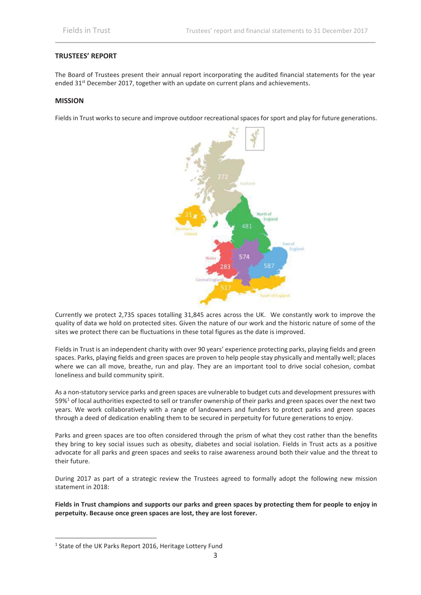#### **TRUSTEES' REPORT**

The Board of Trustees present their annual report incorporating the audited financial statements for the year ended 31st December 2017, together with an update on current plans and achievements.

#### **MISSION**

Fields in Trust works to secure and improve outdoor recreational spaces for sport and play for future generations.



Currently we protect 2,735 spaces totalling 31,845 acres across the UK. We constantly work to improve the quality of data we hold on protected sites. Given the nature of our work and the historic nature of some of the sites we protect there can be fluctuations in these total figures as the date is improved.

Fields in Trust is an independent charity with over 90 years' experience protecting parks, playing fields and green spaces. Parks, playing fields and green spaces are proven to help people stay physically and mentally well; places where we can all move, breathe, run and play. They are an important tool to drive social cohesion, combat loneliness and build community spirit.

As a non-statutory service parks and green spaces are vulnerable to budget cuts and development pressures with 59%<sup>1</sup> of local authorities expected to sell or transfer ownership of their parks and green spaces over the next two years. We work collaboratively with a range of landowners and funders to protect parks and green spaces through a deed of dedication enabling them to be secured in perpetuity for future generations to enjoy.

Parks and green spaces are too often considered through the prism of what they cost rather than the benefits they bring to key social issues such as obesity, diabetes and social isolation. Fields in Trust acts as a positive advocate for all parks and green spaces and seeks to raise awareness around both their value and the threat to their future.

During 2017 as part of a strategic review the Trustees agreed to formally adopt the following new mission statement in 2018:

**Fields in Trust champions and supports our parks and green spaces by protecting them for people to enjoy in perpetuity. Because once green spaces are lost, they are lost forever.** 

 $\overline{a}$ 

<sup>&</sup>lt;sup>1</sup> State of the UK Parks Report 2016, Heritage Lottery Fund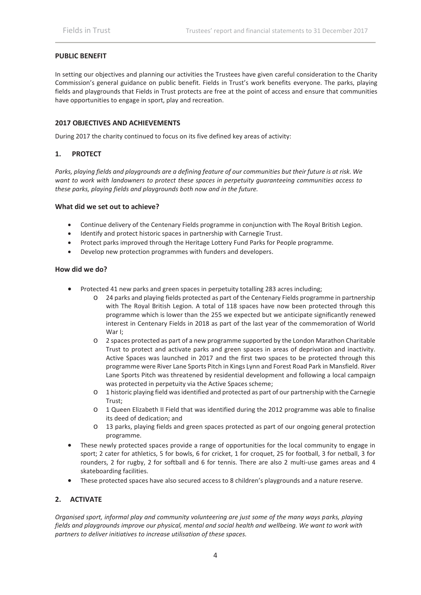#### **PUBLIC BENEFIT**

In setting our objectives and planning our activities the Trustees have given careful consideration to the Charity Commission's general guidance on public benefit. Fields in Trust's work benefits everyone. The parks, playing fields and playgrounds that Fields in Trust protects are free at the point of access and ensure that communities have opportunities to engage in sport, play and recreation.

#### **2017 OBJECTIVES AND ACHIEVEMENTS**

During 2017 the charity continued to focus on its five defined key areas of activity:

#### **1. PROTECT**

*Parks, playing fields and playgrounds are a defining feature of our communities but their future is at risk. We want to work with landowners to protect these spaces in perpetuity guaranteeing communities access to these parks, playing fields and playgrounds both now and in the future.* 

#### **What did we set out to achieve?**

- Continue delivery of the Centenary Fields programme in conjunction with The Royal British Legion.
- Identify and protect historic spaces in partnership with Carnegie Trust.
- Protect parks improved through the Heritage Lottery Fund Parks for People programme.
- Develop new protection programmes with funders and developers.

#### **How did we do?**

- Protected 41 new parks and green spaces in perpetuity totalling 283 acres including;
	- o 24 parks and playing fields protected as part of the Centenary Fields programme in partnership with The Royal British Legion. A total of 118 spaces have now been protected through this programme which is lower than the 255 we expected but we anticipate significantly renewed interest in Centenary Fields in 2018 as part of the last year of the commemoration of World War I;
	- o 2 spaces protected as part of a new programme supported by the London Marathon Charitable Trust to protect and activate parks and green spaces in areas of deprivation and inactivity. Active Spaces was launched in 2017 and the first two spaces to be protected through this programme were River Lane Sports Pitch in Kings Lynn and Forest Road Park in Mansfield. River Lane Sports Pitch was threatened by residential development and following a local campaign was protected in perpetuity via the Active Spaces scheme;
	- o 1 historic playing field was identified and protected as part of our partnership with the Carnegie Trust;
	- o 1 Queen Elizabeth II Field that was identified during the 2012 programme was able to finalise its deed of dedication; and
	- o 13 parks, playing fields and green spaces protected as part of our ongoing general protection programme.
- These newly protected spaces provide a range of opportunities for the local community to engage in sport; 2 cater for athletics, 5 for bowls, 6 for cricket, 1 for croquet, 25 for football, 3 for netball, 3 for rounders, 2 for rugby, 2 for softball and 6 for tennis. There are also 2 multi-use games areas and 4 skateboarding facilities.
- These protected spaces have also secured access to 8 children's playgrounds and a nature reserve.

#### **2. ACTIVATE**

*Organised sport, informal play and community volunteering are just some of the many ways parks, playing fields and playgrounds improve our physical, mental and social health and wellbeing. We want to work with partners to deliver initiatives to increase utilisation of these spaces.*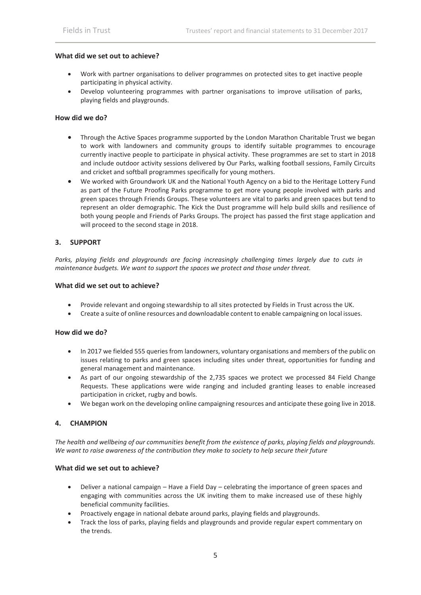#### **What did we set out to achieve?**

- x Work with partner organisations to deliver programmes on protected sites to get inactive people participating in physical activity.
- Develop volunteering programmes with partner organisations to improve utilisation of parks, playing fields and playgrounds.

#### **How did we do?**

- Through the Active Spaces programme supported by the London Marathon Charitable Trust we began to work with landowners and community groups to identify suitable programmes to encourage currently inactive people to participate in physical activity. These programmes are set to start in 2018 and include outdoor activity sessions delivered by Our Parks, walking football sessions, Family Circuits and cricket and softball programmes specifically for young mothers.
- We worked with Groundwork UK and the National Youth Agency on a bid to the Heritage Lottery Fund as part of the Future Proofing Parks programme to get more young people involved with parks and green spaces through Friends Groups. These volunteers are vital to parks and green spaces but tend to represent an older demographic. The Kick the Dust programme will help build skills and resilience of both young people and Friends of Parks Groups. The project has passed the first stage application and will proceed to the second stage in 2018.

#### **3. SUPPORT**

*Parks, playing fields and playgrounds are facing increasingly challenging times largely due to cuts in maintenance budgets. We want to support the spaces we protect and those under threat.* 

#### **What did we set out to achieve?**

- Provide relevant and ongoing stewardship to all sites protected by Fields in Trust across the UK.
- Create a suite of online resources and downloadable content to enable campaigning on local issues.

#### **How did we do?**

- In 2017 we fielded 555 queries from landowners, voluntary organisations and members of the public on issues relating to parks and green spaces including sites under threat, opportunities for funding and general management and maintenance.
- As part of our ongoing stewardship of the 2,735 spaces we protect we processed 84 Field Change Requests. These applications were wide ranging and included granting leases to enable increased participation in cricket, rugby and bowls.
- We began work on the developing online campaigning resources and anticipate these going live in 2018.

#### **4. CHAMPION**

*The health and wellbeing of our communities benefit from the existence of parks, playing fields and playgrounds. We want to raise awareness of the contribution they make to society to help secure their future*

#### **What did we set out to achieve?**

- Deliver a national campaign Have a Field Day celebrating the importance of green spaces and engaging with communities across the UK inviting them to make increased use of these highly beneficial community facilities.
- Proactively engage in national debate around parks, playing fields and playgrounds.
- x Track the loss of parks, playing fields and playgrounds and provide regular expert commentary on the trends.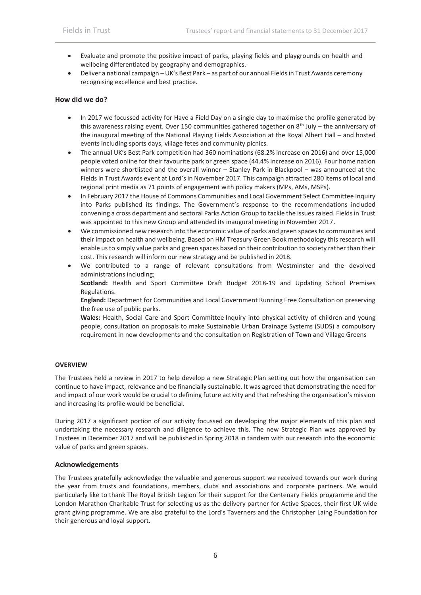- Evaluate and promote the positive impact of parks, playing fields and playgrounds on health and wellbeing differentiated by geography and demographics.
- Deliver a national campaign UK's Best Park as part of our annual Fields in Trust Awards ceremony recognising excellence and best practice.

#### **How did we do?**

- In 2017 we focussed activity for Have a Field Day on a single day to maximise the profile generated by this awareness raising event. Over 150 communities gathered together on  $8<sup>th</sup>$  July – the anniversary of the inaugural meeting of the National Playing Fields Association at the Royal Albert Hall – and hosted events including sports days, village fetes and community picnics.
- x The annual UK's Best Park competition had 360 nominations (68.2% increase on 2016) and over 15,000 people voted online for their favourite park or green space (44.4% increase on 2016). Four home nation winners were shortlisted and the overall winner – Stanley Park in Blackpool – was announced at the Fields in Trust Awards event at Lord's in November 2017. This campaign attracted 280 items of local and regional print media as 71 points of engagement with policy makers (MPs, AMs, MSPs).
- In February 2017 the House of Commons Communities and Local Government Select Committee Inquiry into Parks published its findings. The Government's response to the recommendations included convening a cross department and sectoral Parks Action Group to tackle the issues raised. Fields in Trust was appointed to this new Group and attended its inaugural meeting in November 2017.
- We commissioned new research into the economic value of parks and green spaces to communities and their impact on health and wellbeing. Based on HM Treasury Green Book methodology this research will enable us to simply value parks and green spaces based on their contribution to society rather than their cost. This research will inform our new strategy and be published in 2018.
- We contributed to a range of relevant consultations from Westminster and the devolved administrations including;

**Scotland:** Health and Sport Committee Draft Budget 2018-19 and Updating School Premises Regulations.

**England:** Department for Communities and Local Government Running Free Consultation on preserving the free use of public parks.

**Wales:** Health, Social Care and Sport Committee Inquiry into physical activity of children and young people, consultation on proposals to make Sustainable Urban Drainage Systems (SUDS) a compulsory requirement in new developments and the consultation on Registration of Town and Village Greens

#### **OVERVIEW**

The Trustees held a review in 2017 to help develop a new Strategic Plan setting out how the organisation can continue to have impact, relevance and be financially sustainable. It was agreed that demonstrating the need for and impact of our work would be crucial to defining future activity and that refreshing the organisation's mission and increasing its profile would be beneficial.

During 2017 a significant portion of our activity focussed on developing the major elements of this plan and undertaking the necessary research and diligence to achieve this. The new Strategic Plan was approved by Trustees in December 2017 and will be published in Spring 2018 in tandem with our research into the economic value of parks and green spaces.

#### **Acknowledgements**

The Trustees gratefully acknowledge the valuable and generous support we received towards our work during the year from trusts and foundations, members, clubs and associations and corporate partners. We would particularly like to thank The Royal British Legion for their support for the Centenary Fields programme and the London Marathon Charitable Trust for selecting us as the delivery partner for Active Spaces, their first UK wide grant giving programme. We are also grateful to the Lord's Taverners and the Christopher Laing Foundation for their generous and loyal support.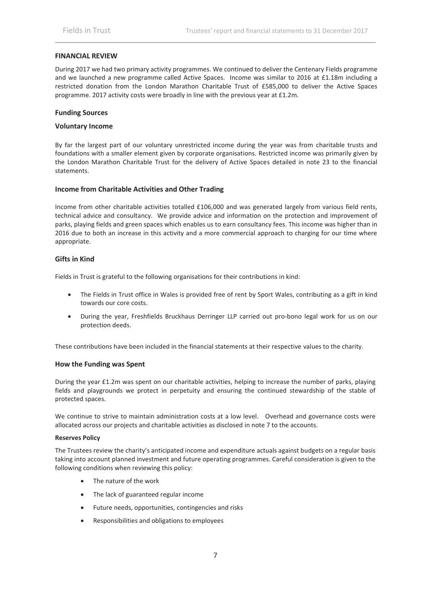#### **FINANCIAL REVIEW**

During 2017 we had two primary activity programmes. We continued to deliver the Centenary Fields programme and we launched a new programme called Active Spaces. Income was similar to 2016 at £1.18m including a restricted donation from the London Marathon Charitable Trust of £585,000 to deliver the Active Spaces programme. 2017 activity costs were broadly in line with the previous year at £1.2m.

#### **Funding Sources**

#### **Voluntary Income**

By far the largest part of our voluntary unrestricted income during the year was from charitable trusts and foundations with a smaller element given by corporate organisations. Restricted income was primarily given by the London Marathon Charitable Trust for the delivery of Active Spaces detailed in note 23 to the financial statements.

#### **Income from Charitable Activities and Other Trading**

Income from other charitable activities totalled £106,000 and was generated largely from various field rents, technical advice and consultancy. We provide advice and information on the protection and improvement of parks, playing fields and green spaces which enables us to earn consultancy fees. This income was higher than in 2016 due to both an increase in this activity and a more commercial approach to charging for our time where appropriate.

#### **Gifts in Kind**

Fields in Trust is grateful to the following organisations for their contributions in kind:

- The Fields in Trust office in Wales is provided free of rent by Sport Wales, contributing as a gift in kind towards our core costs.
- During the year, Freshfields Bruckhaus Derringer LLP carried out pro-bono legal work for us on our protection deeds.

These contributions have been included in the financial statements at their respective values to the charity.

#### **How the Funding was Spent**

During the year £1.2m was spent on our charitable activities, helping to increase the number of parks, playing fields and playgrounds we protect in perpetuity and ensuring the continued stewardship of the stable of protected spaces.

We continue to strive to maintain administration costs at a low level. Overhead and governance costs were allocated across our projects and charitable activities as disclosed in note 7 to the accounts.

#### **Reserves Policy**

The Trustees review the charity's anticipated income and expenditure actuals against budgets on a regular basis taking into account planned investment and future operating programmes. Careful consideration is given to the following conditions when reviewing this policy:

- $\bullet$  The nature of the work
- The lack of guaranteed regular income
- Future needs, opportunities, contingencies and risks
- Responsibilities and obligations to employees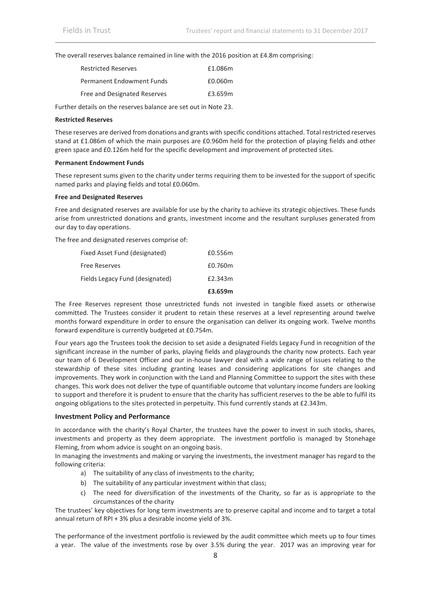The overall reserves balance remained in line with the 2016 position at £4.8m comprising:

| <b>Restricted Reserves</b>   | £1.086m |
|------------------------------|---------|
| Permanent Endowment Funds    | £0.060m |
| Free and Designated Reserves | £3.659m |

Further details on the reserves balance are set out in Note 23.

#### **Restricted Reserves**

These reserves are derived from donations and grants with specific conditions attached. Total restricted reserves stand at £1.086m of which the main purposes are £0.960m held for the protection of playing fields and other green space and £0.126m held for the specific development and improvement of protected sites.

#### **Permanent Endowment Funds**

These represent sums given to the charity under terms requiring them to be invested for the support of specific named parks and playing fields and total £0.060m.

#### **Free and Designated Reserves**

Free and designated reserves are available for use by the charity to achieve its strategic objectives. These funds arise from unrestricted donations and grants, investment income and the resultant surpluses generated from our day to day operations.

The free and designated reserves comprise of:

|                                 | £3.659m |
|---------------------------------|---------|
| Fields Legacy Fund (designated) | £2.343m |
| Free Reserves                   | £0.760m |
| Fixed Asset Fund (designated)   | £0.556m |

The Free Reserves represent those unrestricted funds not invested in tangible fixed assets or otherwise committed. The Trustees consider it prudent to retain these reserves at a level representing around twelve months forward expenditure in order to ensure the organisation can deliver its ongoing work. Twelve months forward expenditure is currently budgeted at £0.754m.

Four years ago the Trustees took the decision to set aside a designated Fields Legacy Fund in recognition of the significant increase in the number of parks, playing fields and playgrounds the charity now protects. Each year our team of 6 Development Officer and our in-house lawyer deal with a wide range of issues relating to the stewardship of these sites including granting leases and considering applications for site changes and improvements. They work in conjunction with the Land and Planning Committee to support the sites with these changes. This work does not deliver the type of quantifiable outcome that voluntary income funders are looking to support and therefore it is prudent to ensure that the charity has sufficient reserves to the be able to fulfil its ongoing obligations to the sites protected in perpetuity. This fund currently stands at £2.343m.

#### **Investment Policy and Performance**

In accordance with the charity's Royal Charter, the trustees have the power to invest in such stocks, shares, investments and property as they deem appropriate. The investment portfolio is managed by Stonehage Fleming, from whom advice is sought on an ongoing basis.

In managing the investments and making or varying the investments, the investment manager has regard to the following criteria:

- a) The suitability of any class of investments to the charity;
- b) The suitability of any particular investment within that class;
- c) The need for diversification of the investments of the Charity, so far as is appropriate to the circumstances of the charity

The trustees' key objectives for long term investments are to preserve capital and income and to target a total annual return of RPI + 3% plus a desirable income yield of 3%.

The performance of the investment portfolio is reviewed by the audit committee which meets up to four times a year. The value of the investments rose by over 3.5% during the year. 2017 was an improving year for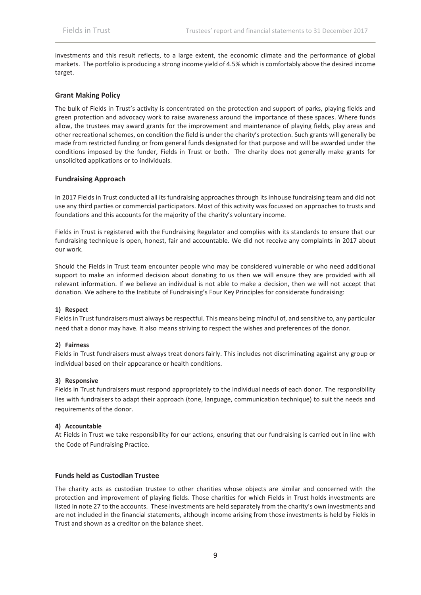investments and this result reflects, to a large extent, the economic climate and the performance of global markets. The portfolio is producing a strong income yield of 4.5% which is comfortably above the desired income target.

#### **Grant Making Policy**

The bulk of Fields in Trust's activity is concentrated on the protection and support of parks, playing fields and green protection and advocacy work to raise awareness around the importance of these spaces. Where funds allow, the trustees may award grants for the improvement and maintenance of playing fields, play areas and other recreational schemes, on condition the field is under the charity's protection. Such grants will generally be made from restricted funding or from general funds designated for that purpose and will be awarded under the conditions imposed by the funder, Fields in Trust or both. The charity does not generally make grants for unsolicited applications or to individuals.

#### **Fundraising Approach**

In 2017 Fields in Trust conducted all its fundraising approaches through its inhouse fundraising team and did not use any third parties or commercial participators. Most of this activity was focussed on approaches to trusts and foundations and this accounts for the majority of the charity's voluntary income.

Fields in Trust is registered with the Fundraising Regulator and complies with its standards to ensure that our fundraising technique is open, honest, fair and accountable. We did not receive any complaints in 2017 about our work.

Should the Fields in Trust team encounter people who may be considered vulnerable or who need additional support to make an informed decision about donating to us then we will ensure they are provided with all relevant information. If we believe an individual is not able to make a decision, then we will not accept that donation. We adhere to the Institute of Fundraising's Four Key Principles for considerate fundraising:

#### **1) Respect**

Fields in Trust fundraisers must always be respectful. This means being mindful of, and sensitive to, any particular need that a donor may have. It also means striving to respect the wishes and preferences of the donor.

#### **2) Fairness**

Fields in Trust fundraisers must always treat donors fairly. This includes not discriminating against any group or individual based on their appearance or health conditions.

#### **3) Responsive**

Fields in Trust fundraisers must respond appropriately to the individual needs of each donor. The responsibility lies with fundraisers to adapt their approach (tone, language, communication technique) to suit the needs and requirements of the donor.

#### **4) Accountable**

At Fields in Trust we take responsibility for our actions, ensuring that our fundraising is carried out in line with the Code of Fundraising Practice.

#### **Funds held as Custodian Trustee**

The charity acts as custodian trustee to other charities whose objects are similar and concerned with the protection and improvement of playing fields. Those charities for which Fields in Trust holds investments are listed in note 27 to the accounts. These investments are held separately from the charity's own investments and are not included in the financial statements, although income arising from those investments is held by Fields in Trust and shown as a creditor on the balance sheet.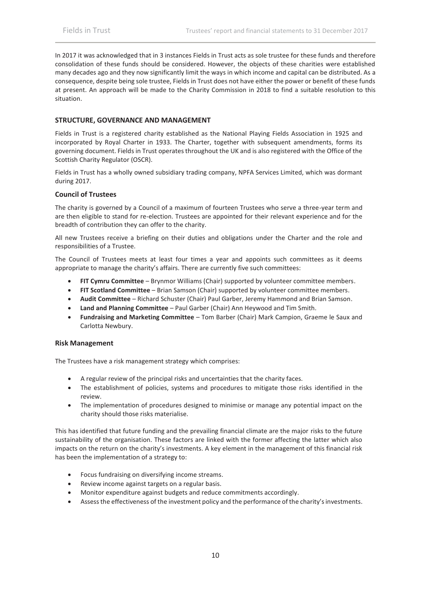In 2017 it was acknowledged that in 3 instances Fields in Trust acts as sole trustee for these funds and therefore consolidation of these funds should be considered. However, the objects of these charities were established many decades ago and they now significantly limit the ways in which income and capital can be distributed. As a consequence, despite being sole trustee, Fields in Trust does not have either the power or benefit of these funds at present. An approach will be made to the Charity Commission in 2018 to find a suitable resolution to this situation.

#### **STRUCTURE, GOVERNANCE AND MANAGEMENT**

Fields in Trust is a registered charity established as the National Playing Fields Association in 1925 and incorporated by Royal Charter in 1933. The Charter, together with subsequent amendments, forms its governing document. Fields in Trust operates throughout the UK and is also registered with the Office of the Scottish Charity Regulator (OSCR).

Fields in Trust has a wholly owned subsidiary trading company, NPFA Services Limited, which was dormant during 2017.

#### **Council of Trustees**

The charity is governed by a Council of a maximum of fourteen Trustees who serve a three-year term and are then eligible to stand for re-election. Trustees are appointed for their relevant experience and for the breadth of contribution they can offer to the charity.

All new Trustees receive a briefing on their duties and obligations under the Charter and the role and responsibilities of a Trustee.

The Council of Trustees meets at least four times a year and appoints such committees as it deems appropriate to manage the charity's affairs. There are currently five such committees:

- **FIT Cymru Committee** Brynmor Williams (Chair) supported by volunteer committee members.
- x **FIT Scotland Committee** Brian Samson (Chair) supported by volunteer committee members.
- x **Audit Committee** Richard Schuster (Chair) Paul Garber, Jeremy Hammond and Brian Samson.
- Land and Planning Committee Paul Garber (Chair) Ann Heywood and Tim Smith.
- Fundraising and Marketing Committee Tom Barber (Chair) Mark Campion, Graeme le Saux and Carlotta Newbury.

#### **Risk Management**

The Trustees have a risk management strategy which comprises:

- A regular review of the principal risks and uncertainties that the charity faces.
- The establishment of policies, systems and procedures to mitigate those risks identified in the review.
- The implementation of procedures designed to minimise or manage any potential impact on the charity should those risks materialise.

This has identified that future funding and the prevailing financial climate are the major risks to the future sustainability of the organisation. These factors are linked with the former affecting the latter which also impacts on the return on the charity's investments. A key element in the management of this financial risk has been the implementation of a strategy to:

- Focus fundraising on diversifying income streams.
- Review income against targets on a regular basis.
- x Monitor expenditure against budgets and reduce commitments accordingly.
- Assess the effectiveness of the investment policy and the performance of the charity's investments.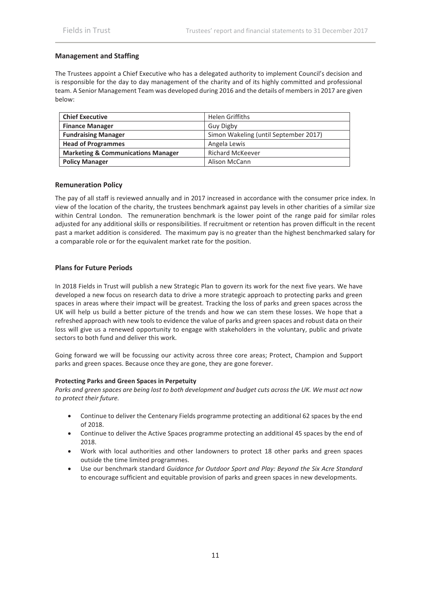#### **Management and Staffing**

The Trustees appoint a Chief Executive who has a delegated authority to implement Council's decision and is responsible for the day to day management of the charity and of its highly committed and professional team. A Senior Management Team was developed during 2016 and the details of members in 2017 are given below:

| <b>Chief Executive</b>                        | <b>Helen Griffiths</b>                |
|-----------------------------------------------|---------------------------------------|
| <b>Finance Manager</b>                        | Guy Digby                             |
| <b>Fundraising Manager</b>                    | Simon Wakeling (until September 2017) |
| <b>Head of Programmes</b>                     | Angela Lewis                          |
| <b>Marketing &amp; Communications Manager</b> | <b>Richard McKeever</b>               |
| <b>Policy Manager</b>                         | Alison McCann                         |

#### **Remuneration Policy**

The pay of all staff is reviewed annually and in 2017 increased in accordance with the consumer price index. In view of the location of the charity, the trustees benchmark against pay levels in other charities of a similar size within Central London. The remuneration benchmark is the lower point of the range paid for similar roles adjusted for any additional skills or responsibilities. If recruitment or retention has proven difficult in the recent past a market addition is considered. The maximum pay is no greater than the highest benchmarked salary for a comparable role or for the equivalent market rate for the position.

#### **Plans for Future Periods**

In 2018 Fields in Trust will publish a new Strategic Plan to govern its work for the next five years. We have developed a new focus on research data to drive a more strategic approach to protecting parks and green spaces in areas where their impact will be greatest. Tracking the loss of parks and green spaces across the UK will help us build a better picture of the trends and how we can stem these losses. We hope that a refreshed approach with new tools to evidence the value of parks and green spaces and robust data on their loss will give us a renewed opportunity to engage with stakeholders in the voluntary, public and private sectors to both fund and deliver this work.

Going forward we will be focussing our activity across three core areas; Protect, Champion and Support parks and green spaces. Because once they are gone, they are gone forever.

#### **Protecting Parks and Green Spaces in Perpetuity**

*Parks and green spaces are being lost to both development and budget cuts across the UK. We must act now to protect their future.* 

- Continue to deliver the Centenary Fields programme protecting an additional 62 spaces by the end of 2018.
- x Continue to deliver the Active Spaces programme protecting an additional 45 spaces by the end of 2018.
- Work with local authorities and other landowners to protect 18 other parks and green spaces outside the time limited programmes.
- x Use our benchmark standard *Guidance for Outdoor Sport and Play: Beyond the Six Acre Standard*  to encourage sufficient and equitable provision of parks and green spaces in new developments.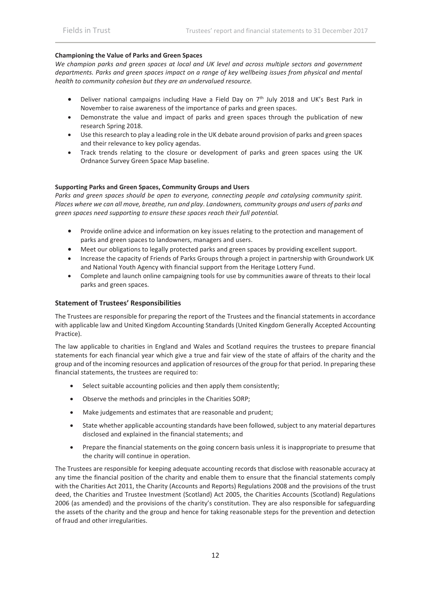#### **Championing the Value of Parks and Green Spaces**

*We champion parks and green spaces at local and UK level and across multiple sectors and government departments. Parks and green spaces impact on a range of key wellbeing issues from physical and mental health to community cohesion but they are an undervalued resource.* 

- Deliver national campaigns including Have a Field Day on  $7<sup>th</sup>$  July 2018 and UK's Best Park in November to raise awareness of the importance of parks and green spaces.
- Demonstrate the value and impact of parks and green spaces through the publication of new research Spring 2018.
- Use this research to play a leading role in the UK debate around provision of parks and green spaces and their relevance to key policy agendas.
- Track trends relating to the closure or development of parks and green spaces using the UK Ordnance Survey Green Space Map baseline.

#### **Supporting Parks and Green Spaces, Community Groups and Users**

*Parks and green spaces should be open to everyone, connecting people and catalysing community spirit. Places where we can all move, breathe, run and play. Landowners, community groups and users of parks and green spaces need supporting to ensure these spaces reach their full potential.* 

- Provide online advice and information on key issues relating to the protection and management of parks and green spaces to landowners, managers and users.
- Meet our obligations to legally protected parks and green spaces by providing excellent support.
- Increase the capacity of Friends of Parks Groups through a project in partnership with Groundwork UK and National Youth Agency with financial support from the Heritage Lottery Fund.
- Complete and launch online campaigning tools for use by communities aware of threats to their local parks and green spaces.

#### **Statement of Trustees' Responsibilities**

The Trustees are responsible for preparing the report of the Trustees and the financial statements in accordance with applicable law and United Kingdom Accounting Standards (United Kingdom Generally Accepted Accounting Practice).

The law applicable to charities in England and Wales and Scotland requires the trustees to prepare financial statements for each financial year which give a true and fair view of the state of affairs of the charity and the group and of the incoming resources and application of resources of the group for that period. In preparing these financial statements, the trustees are required to:

- Select suitable accounting policies and then apply them consistently;
- Observe the methods and principles in the Charities SORP:
- Make judgements and estimates that are reasonable and prudent;
- State whether applicable accounting standards have been followed, subject to any material departures disclosed and explained in the financial statements; and
- Prepare the financial statements on the going concern basis unless it is inappropriate to presume that the charity will continue in operation.

The Trustees are responsible for keeping adequate accounting records that disclose with reasonable accuracy at any time the financial position of the charity and enable them to ensure that the financial statements comply with the Charities Act 2011, the Charity (Accounts and Reports) Regulations 2008 and the provisions of the trust deed, the Charities and Trustee Investment (Scotland) Act 2005, the Charities Accounts (Scotland) Regulations 2006 (as amended) and the provisions of the charity's constitution. They are also responsible for safeguarding the assets of the charity and the group and hence for taking reasonable steps for the prevention and detection of fraud and other irregularities.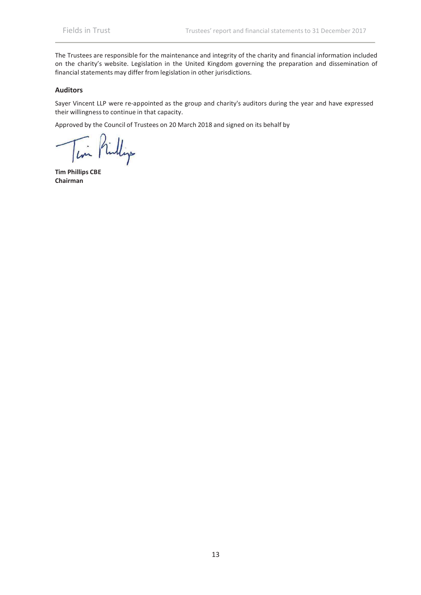The Trustees are responsible for the maintenance and integrity of the charity and financial information included on the charity's website. Legislation in the United Kingdom governing the preparation and dissemination of financial statements may differ from legislation in other jurisdictions.

#### **Auditors**

Sayer Vincent LLP were re-appointed as the group and charity's auditors during the year and have expressed their willingness to continue in that capacity.

Approved by the Council of Trustees on 20 March 2018 and signed on its behalf by

inllip

**Tim Phillips CBE Chairman**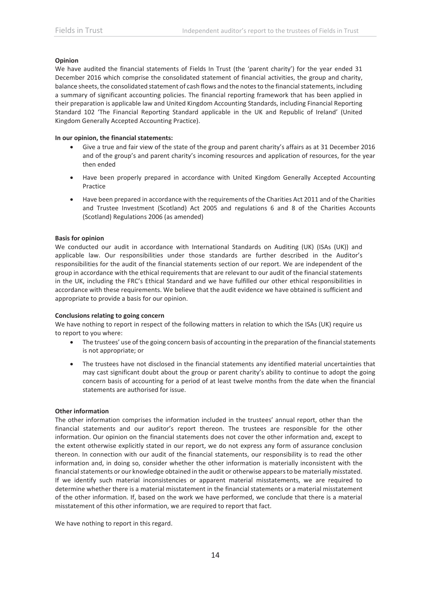#### **Opinion**

We have audited the financial statements of Fields In Trust (the 'parent charity') for the year ended 31 December 2016 which comprise the consolidated statement of financial activities, the group and charity, balance sheets, the consolidated statement of cash flows and the notes to the financial statements, including a summary of significant accounting policies. The financial reporting framework that has been applied in their preparation is applicable law and United Kingdom Accounting Standards, including Financial Reporting Standard 102 'The Financial Reporting Standard applicable in the UK and Republic of Ireland' (United Kingdom Generally Accepted Accounting Practice).

#### **In our opinion, the financial statements:**

- Give a true and fair view of the state of the group and parent charity's affairs as at 31 December 2016 and of the group's and parent charity's incoming resources and application of resources, for the year then ended
- Have been properly prepared in accordance with United Kingdom Generally Accepted Accounting Practice
- Have been prepared in accordance with the requirements of the Charities Act 2011 and of the Charities and Trustee Investment (Scotland) Act 2005 and regulations 6 and 8 of the Charities Accounts (Scotland) Regulations 2006 (as amended)

#### **Basis for opinion**

We conducted our audit in accordance with International Standards on Auditing (UK) (ISAs (UK)) and applicable law. Our responsibilities under those standards are further described in the Auditor's responsibilities for the audit of the financial statements section of our report. We are independent of the group in accordance with the ethical requirements that are relevant to our audit of the financial statements in the UK, including the FRC's Ethical Standard and we have fulfilled our other ethical responsibilities in accordance with these requirements. We believe that the audit evidence we have obtained is sufficient and appropriate to provide a basis for our opinion.

#### **Conclusions relating to going concern**

We have nothing to report in respect of the following matters in relation to which the ISAs (UK) require us to report to you where:

- The trustees' use of the going concern basis of accounting in the preparation of the financial statements is not appropriate; or
- The trustees have not disclosed in the financial statements any identified material uncertainties that may cast significant doubt about the group or parent charity's ability to continue to adopt the going concern basis of accounting for a period of at least twelve months from the date when the financial statements are authorised for issue.

#### **Other information**

The other information comprises the information included in the trustees' annual report, other than the financial statements and our auditor's report thereon. The trustees are responsible for the other information. Our opinion on the financial statements does not cover the other information and, except to the extent otherwise explicitly stated in our report, we do not express any form of assurance conclusion thereon. In connection with our audit of the financial statements, our responsibility is to read the other information and, in doing so, consider whether the other information is materially inconsistent with the financial statements or our knowledge obtained in the audit or otherwise appears to be materially misstated. If we identify such material inconsistencies or apparent material misstatements, we are required to determine whether there is a material misstatement in the financial statements or a material misstatement of the other information. If, based on the work we have performed, we conclude that there is a material misstatement of this other information, we are required to report that fact.

We have nothing to report in this regard.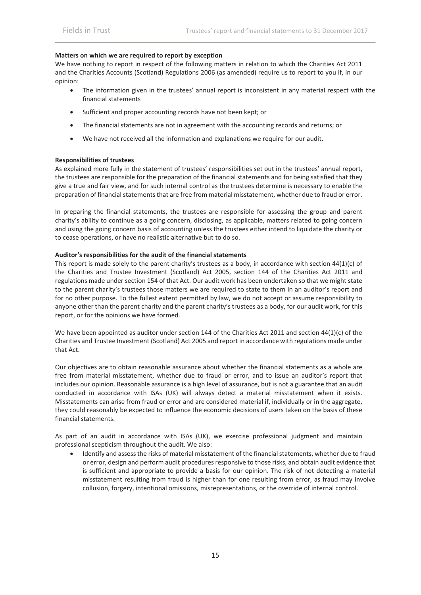#### **Matters on which we are required to report by exception**

We have nothing to report in respect of the following matters in relation to which the Charities Act 2011 and the Charities Accounts (Scotland) Regulations 2006 (as amended) require us to report to you if, in our opinion:

- The information given in the trustees' annual report is inconsistent in any material respect with the financial statements
- Sufficient and proper accounting records have not been kept; or
- The financial statements are not in agreement with the accounting records and returns; or
- We have not received all the information and explanations we require for our audit.

#### **Responsibilities of trustees**

As explained more fully in the statement of trustees' responsibilities set out in the trustees' annual report, the trustees are responsible for the preparation of the financial statements and for being satisfied that they give a true and fair view, and for such internal control as the trustees determine is necessary to enable the preparation of financial statements that are free from material misstatement, whether due to fraud or error.

In preparing the financial statements, the trustees are responsible for assessing the group and parent charity's ability to continue as a going concern, disclosing, as applicable, matters related to going concern and using the going concern basis of accounting unless the trustees either intend to liquidate the charity or to cease operations, or have no realistic alternative but to do so.

#### **Auditor's responsibilities for the audit of the financial statements**

This report is made solely to the parent charity's trustees as a body, in accordance with section 44(1)(c) of the Charities and Trustee Investment (Scotland) Act 2005, section 144 of the Charities Act 2011 and regulations made under section 154 of that Act. Our audit work has been undertaken so that we might state to the parent charity's trustees those matters we are required to state to them in an auditor's report and for no other purpose. To the fullest extent permitted by law, we do not accept or assume responsibility to anyone other than the parent charity and the parent charity's trustees as a body, for our audit work, for this report, or for the opinions we have formed.

We have been appointed as auditor under section 144 of the Charities Act 2011 and section 44(1)(c) of the Charities and Trustee Investment (Scotland) Act 2005 and report in accordance with regulations made under that Act.

Our objectives are to obtain reasonable assurance about whether the financial statements as a whole are free from material misstatement, whether due to fraud or error, and to issue an auditor's report that includes our opinion. Reasonable assurance is a high level of assurance, but is not a guarantee that an audit conducted in accordance with ISAs (UK) will always detect a material misstatement when it exists. Misstatements can arise from fraud or error and are considered material if, individually or in the aggregate, they could reasonably be expected to influence the economic decisions of users taken on the basis of these financial statements.

As part of an audit in accordance with ISAs (UK), we exercise professional judgment and maintain professional scepticism throughout the audit. We also:

Identify and assess the risks of material misstatement of the financial statements, whether due to fraud or error, design and perform audit procedures responsive to those risks, and obtain audit evidence that is sufficient and appropriate to provide a basis for our opinion. The risk of not detecting a material misstatement resulting from fraud is higher than for one resulting from error, as fraud may involve collusion, forgery, intentional omissions, misrepresentations, or the override of internal control.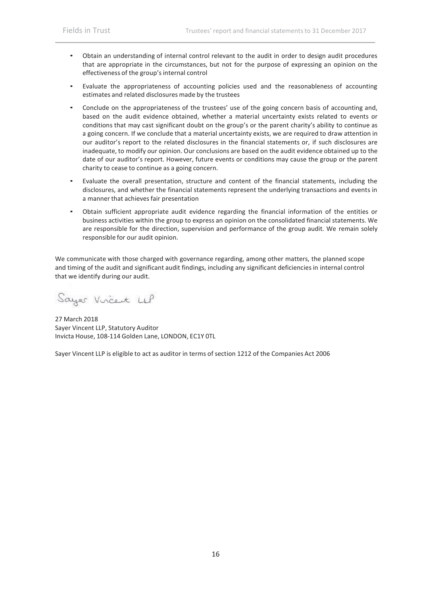- Obtain an understanding of internal control relevant to the audit in order to design audit procedures that are appropriate in the circumstances, but not for the purpose of expressing an opinion on the effectiveness of the group's internal control
- Evaluate the appropriateness of accounting policies used and the reasonableness of accounting estimates and related disclosures made by the trustees
- Conclude on the appropriateness of the trustees' use of the going concern basis of accounting and, based on the audit evidence obtained, whether a material uncertainty exists related to events or conditions that may cast significant doubt on the group's or the parent charity's ability to continue as a going concern. If we conclude that a material uncertainty exists, we are required to draw attention in our auditor's report to the related disclosures in the financial statements or, if such disclosures are inadequate, to modify our opinion. Our conclusions are based on the audit evidence obtained up to the date of our auditor's report. However, future events or conditions may cause the group or the parent charity to cease to continue as a going concern.
- Evaluate the overall presentation, structure and content of the financial statements, including the disclosures, and whether the financial statements represent the underlying transactions and events in a manner that achieves fair presentation
- Obtain sufficient appropriate audit evidence regarding the financial information of the entities or business activities within the group to express an opinion on the consolidated financial statements. We are responsible for the direction, supervision and performance of the group audit. We remain solely responsible for our audit opinion.

We communicate with those charged with governance regarding, among other matters, the planned scope and timing of the audit and significant audit findings, including any significant deficiencies in internal control that we identify during our audit.

Sayer Vincent Le

27 March 2018 Sayer Vincent LLP, Statutory Auditor Invicta House, 108-114 Golden Lane, LONDON, EC1Y 0TL

Sayer Vincent LLP is eligible to act as auditor in terms of section 1212 of the Companies Act 2006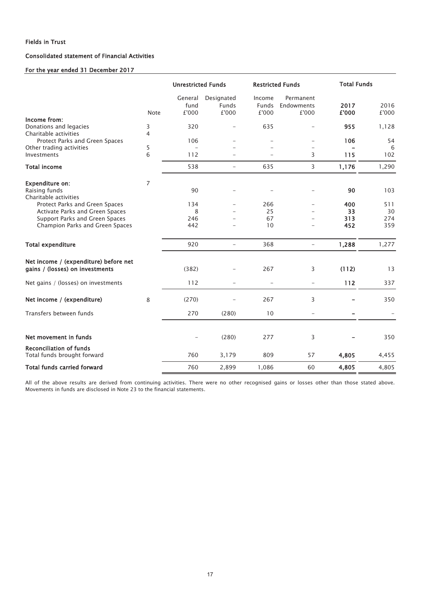#### Consolidated statement of Financial Activities

#### For the year ended 31 December 2017

|                                                                          |                     | <b>Unrestricted Funds</b> |                              |                                 | <b>Restricted Funds</b>          | <b>Total Funds</b> |               |
|--------------------------------------------------------------------------|---------------------|---------------------------|------------------------------|---------------------------------|----------------------------------|--------------------|---------------|
|                                                                          | <b>Note</b>         | General<br>fund<br>£'000  | Designated<br>Funds<br>£'000 | Income<br><b>Funds</b><br>£'000 | Permanent<br>Endowments<br>£'000 | 2017<br>£'000      | 2016<br>£'000 |
| Income from:<br>Donations and legacies<br>Charitable activities          | 3<br>$\overline{4}$ | 320                       | $\qquad \qquad -$            | 635                             |                                  | 955                | 1,128         |
| Protect Parks and Green Spaces                                           |                     | 106                       |                              |                                 | $\qquad \qquad -$                | 106                | 54            |
| Other trading activities<br>Investments                                  | 5<br>6              | 112                       | $\equiv$                     |                                 | 3                                | 115                | 6<br>102      |
| <b>Total income</b>                                                      |                     | 538                       | $\overline{\phantom{0}}$     | 635                             | 3                                | 1,176              | 1,290         |
| <b>Expenditure on:</b><br>Raising funds<br>Charitable activities         | $\overline{7}$      | 90                        |                              |                                 |                                  | 90                 | 103           |
| Protect Parks and Green Spaces                                           |                     | 134                       |                              | 266                             |                                  | 400                | 511           |
| Activate Parks and Green Spaces                                          |                     | 8                         |                              | 25                              |                                  | 33                 | 30            |
| Support Parks and Green Spaces<br>Champion Parks and Green Spaces        |                     | 246<br>442                |                              | 67<br>10                        |                                  | 313<br>452         | 274<br>359    |
| <b>Total expenditure</b>                                                 |                     | 920                       | $\qquad \qquad -$            | 368                             | $\overline{\phantom{a}}$         | 1,288              | 1,277         |
| Net income / (expenditure) before net<br>gains / (losses) on investments |                     | (382)                     |                              | 267                             | 3                                | (112)              | 13            |
| Net gains / (losses) on investments                                      |                     | 112                       |                              |                                 | $\qquad \qquad -$                | 112                | 337           |
| Net income / (expenditure)                                               | 8                   | (270)                     |                              | 267                             | 3                                |                    | 350           |
| Transfers between funds                                                  |                     | 270                       | (280)                        | 10                              | $\equiv$                         |                    |               |
| Net movement in funds                                                    |                     |                           | (280)                        | 277                             | 3                                |                    | 350           |
| <b>Reconciliation of funds</b><br>Total funds brought forward            |                     | 760                       | 3,179                        | 809                             | 57                               | 4,805              | 4,455         |
| <b>Total funds carried forward</b>                                       |                     | 760                       | 2,899                        | 1,086                           | 60                               | 4,805              | 4,805         |

All of the above results are derived from continuing activities. There were no other recognised gains or losses other than those stated above. Movements in funds are disclosed in Note 23 to the financial statements.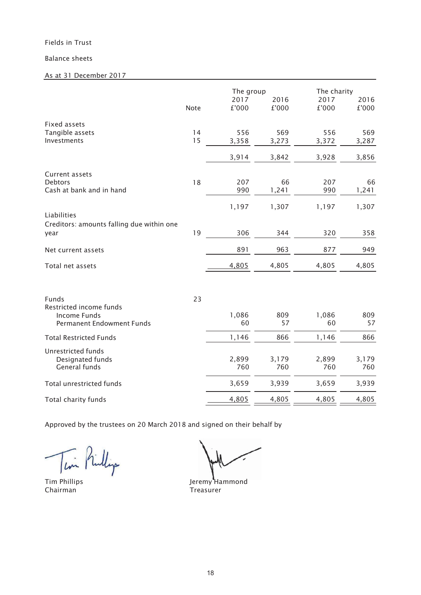#### Balance sheets

#### As at 31 December 2017

|                                                                                             |             | The group     |               | The charity   |               |
|---------------------------------------------------------------------------------------------|-------------|---------------|---------------|---------------|---------------|
|                                                                                             | <b>Note</b> | 2017<br>£'000 | 2016<br>£'000 | 2017<br>£'000 | 2016<br>£'000 |
| Fixed assets<br>Tangible assets<br>Investments                                              | 14<br>15    | 556<br>3,358  | 569<br>3,273  | 556<br>3,372  | 569<br>3,287  |
|                                                                                             |             | 3,914         | 3,842         | 3,928         | 3,856         |
| Current assets<br><b>Debtors</b><br>Cash at bank and in hand                                | 18          | 207<br>990    | 66<br>1,241   | 207<br>990    | 66<br>1,241   |
| Liabilities                                                                                 |             | 1,197         | 1,307         | 1,197         | 1,307         |
| Creditors: amounts falling due within one<br>year                                           | 19          | 306           | 344           | 320           | 358           |
| Net current assets                                                                          |             | 891           | 963           | 877           | 949           |
| Total net assets                                                                            |             | 4,805         | 4,805         | 4,805         | 4,805         |
| Funds<br>Restricted income funds<br><b>Income Funds</b><br><b>Permanent Endowment Funds</b> | 23          | 1,086<br>60   | 809<br>57     | 1,086<br>60   | 809<br>57     |
| <b>Total Restricted Funds</b>                                                               |             | 1,146         | 866           | 1,146         | 866           |
| <b>Unrestricted funds</b><br>Designated funds<br>General funds                              |             | 2,899<br>760  | 3,179<br>760  | 2,899<br>760  | 3,179<br>760  |
| Total unrestricted funds                                                                    |             | 3,659         | 3,939         | 3,659         | 3,939         |
| Total charity funds                                                                         |             | 4,805         | 4,805         | 4,805         | 4,805         |

Approved by the trustees on 20 March 2018 and signed on their behalf by

Tim Prillip

Chairman Treasurer

Tim Phillips Jeremy Hammond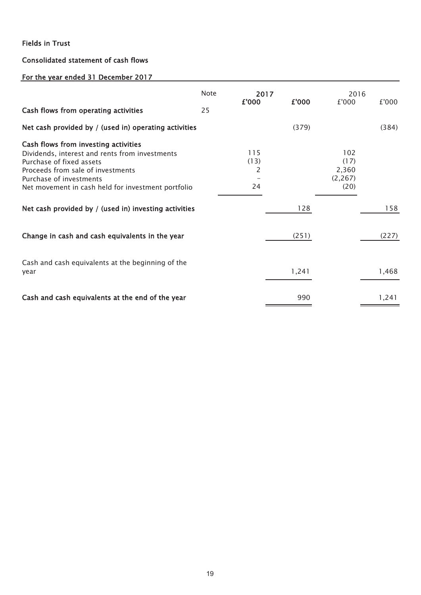# Consolidated statement of cash flows

For the year ended 31 December 2017

|                                                                                                                                                                                                                                          | <b>Note</b> | 2017<br>£'000          | £'000 | 2016<br>£'000                            | £'000 |
|------------------------------------------------------------------------------------------------------------------------------------------------------------------------------------------------------------------------------------------|-------------|------------------------|-------|------------------------------------------|-------|
| Cash flows from operating activities                                                                                                                                                                                                     | 25          |                        |       |                                          |       |
| Net cash provided by / (used in) operating activities                                                                                                                                                                                    |             |                        | (379) |                                          | (384) |
| Cash flows from investing activities<br>Dividends, interest and rents from investments<br>Purchase of fixed assets<br>Proceeds from sale of investments<br>Purchase of investments<br>Net movement in cash held for investment portfolio |             | 115<br>(13)<br>2<br>24 |       | 102<br>(17)<br>2,360<br>(2, 267)<br>(20) |       |
| Net cash provided by / (used in) investing activities                                                                                                                                                                                    |             |                        | 128   |                                          | 158   |
| Change in cash and cash equivalents in the year                                                                                                                                                                                          |             |                        | (251) |                                          | (227) |
| Cash and cash equivalents at the beginning of the<br>year                                                                                                                                                                                |             |                        | 1,241 |                                          | 1,468 |
| Cash and cash equivalents at the end of the year                                                                                                                                                                                         |             |                        | 990   |                                          | 1,241 |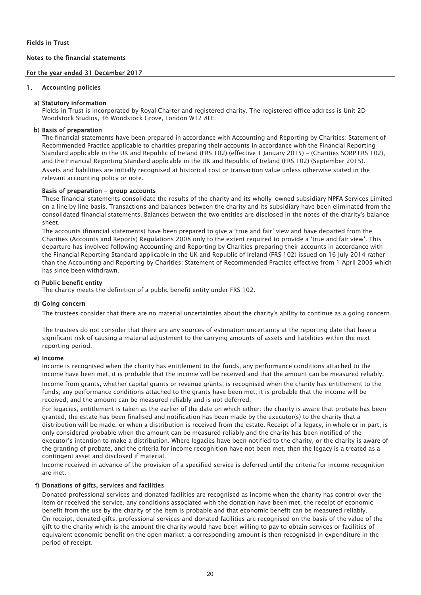#### For the year ended 31 December 2017

#### 1. Accounting policies

#### a) Statutory information

Fields in Trust is incorporated by Royal Charter and registered charity. The registered office address is Unit 2D Woodstock Studios, 36 Woodstock Grove, London W12 8LE.

#### b) Basis of preparation

The financial statements have been prepared in accordance with Accounting and Reporting by Charities: Statement of Recommended Practice applicable to charities preparing their accounts in accordance with the Financial Reporting Standard applicable in the UK and Republic of Ireland (FRS 102) (effective 1 January 2015) - (Charities SORP FRS 102), and the Financial Reporting Standard applicable in the UK and Republic of Ireland (FRS 102) (September 2015).

Assets and liabilities are initially recognised at historical cost or transaction value unless otherwise stated in the relevant accounting policy or note.

#### Basis of preparation - group accounts

These financial statements consolidate the results of the charity and its wholly-owned subsidiary NPFA Services Limited on a line by line basis. Transactions and balances between the charity and its subsidiary have been eliminated from the consolidated financial statements. Balances between the two entities are disclosed in the notes of the charity's balance sheet.

The accounts (financial statements) have been prepared to give a 'true and fair' view and have departed from the Charities (Accounts and Reports) Regulations 2008 only to the extent required to provide a 'true and fair view'. This departure has involved following Accounting and Reporting by Charities preparing their accounts in accordance with the Financial Reporting Standard applicable in the UK and Republic of Ireland (FRS 102) issued on 16 July 2014 rather than the Accounting and Reporting by Charities: Statement of Recommended Practice effective from 1 April 2005 which has since been withdrawn.

#### c) Public benefit entity

The charity meets the definition of a public benefit entity under FRS 102.

#### d) Going concern

The trustees consider that there are no material uncertainties about the charity's ability to continue as a going concern.

The trustees do not consider that there are any sources of estimation uncertainty at the reporting date that have a significant risk of causing a material adjustment to the carrying amounts of assets and liabilities within the next reporting period.

#### e) Income

Income is recognised when the charity has entitlement to the funds, any performance conditions attached to the income have been met, it is probable that the income will be received and that the amount can be measured reliably.

Income from grants, whether capital grants or revenue grants, is recognised when the charity has entitlement to the funds; any performance conditions attached to the grants have been met; it is probable that the income will be received; and the amount can be measured reliably and is not deferred.

For legacies, entitlement is taken as the earlier of the date on which either: the charity is aware that probate has been granted, the estate has been finalised and notification has been made by the executor(s) to the charity that a distribution will be made, or when a distribution is received from the estate. Receipt of a legacy, in whole or in part, is only considered probable when the amount can be measured reliably and the charity has been notified of the executor's intention to make a distribution. Where legacies have been notified to the charity, or the charity is aware of the granting of probate, and the criteria for income recognition have not been met, then the legacy is a treated as a contingent asset and disclosed if material.

Income received in advance of the provision of a specified service is deferred until the criteria for income recognition are met.

#### f) Donations of gifts, services and facilities

Donated professional services and donated facilities are recognised as income when the charity has control over the item or received the service, any conditions associated with the donation have been met, the receipt of economic benefit from the use by the charity of the item is probable and that economic benefit can be measured reliably. On receipt, donated gifts, professional services and donated facilities are recognised on the basis of the value of the gift to the charity which is the amount the charity would have been willing to pay to obtain services or facilities of equivalent economic benefit on the open market; a corresponding amount is then recognised in expenditure in the period of receipt.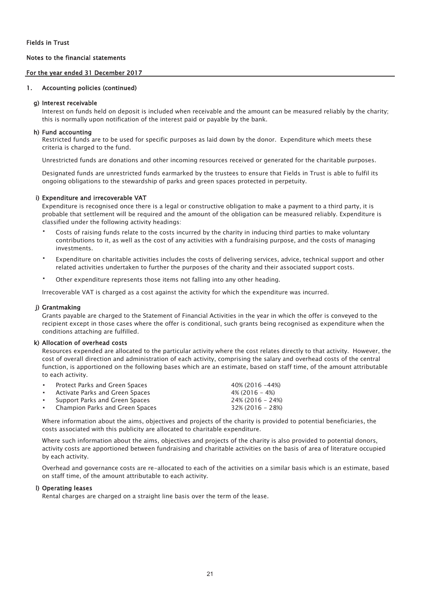#### For the year ended 31 December 2017

#### 1. Accounting policies (continued)

#### g) Interest receivable

Interest on funds held on deposit is included when receivable and the amount can be measured reliably by the charity; this is normally upon notification of the interest paid or payable by the bank.

#### h) Fund accounting

Restricted funds are to be used for specific purposes as laid down by the donor. Expenditure which meets these criteria is charged to the fund.

Unrestricted funds are donations and other incoming resources received or generated for the charitable purposes.

Designated funds are unrestricted funds earmarked by the trustees to ensure that Fields in Trust is able to fulfil its ongoing obligations to the stewardship of parks and green spaces protected in perpetuity.

#### i) Expenditure and irrecoverable VAT

Expenditure is recognised once there is a legal or constructive obligation to make a payment to a third party, it is probable that settlement will be required and the amount of the obligation can be measured reliably. Expenditure is classified under the following activity headings:

- ı Costs of raising funds relate to the costs incurred by the charity in inducing third parties to make voluntary contributions to it, as well as the cost of any activities with a fundraising purpose, and the costs of managing investments.
- ı Expenditure on charitable activities includes the costs of delivering services, advice, technical support and other related activities undertaken to further the purposes of the charity and their associated support costs.
- ı Other expenditure represents those items not falling into any other heading.

Irrecoverable VAT is charged as a cost against the activity for which the expenditure was incurred.

#### j) Grantmaking

Grants payable are charged to the Statement of Financial Activities in the year in which the offer is conveyed to the recipient except in those cases where the offer is conditional, such grants being recognised as expenditure when the conditions attaching are fulfilled.

#### k) Allocation of overhead costs

Resources expended are allocated to the particular activity where the cost relates directly to that activity. However, the cost of overall direction and administration of each activity, comprising the salary and overhead costs of the central function, is apportioned on the following bases which are an estimate, based on staff time, of the amount attributable to each activity.

| • Protect Parks and Green Spaces  | $40\%$ (2016 -44%)  |
|-----------------------------------|---------------------|
| • Activate Parks and Green Spaces | $4\%$ (2016 – 4%)   |
| • Support Parks and Green Spaces  | 24% (2016 - 24%)    |
| • Champion Parks and Green Spaces | $32\%$ (2016 - 28%) |

Where information about the aims, objectives and projects of the charity is provided to potential beneficiaries, the costs associated with this publicity are allocated to charitable expenditure.

Where such information about the aims, objectives and projects of the charity is also provided to potential donors, activity costs are apportioned between fundraising and charitable activities on the basis of area of literature occupied by each activity.

Overhead and governance costs are re-allocated to each of the activities on a similar basis which is an estimate, based on staff time, of the amount attributable to each activity.

#### l) Operating leases

Rental charges are charged on a straight line basis over the term of the lease.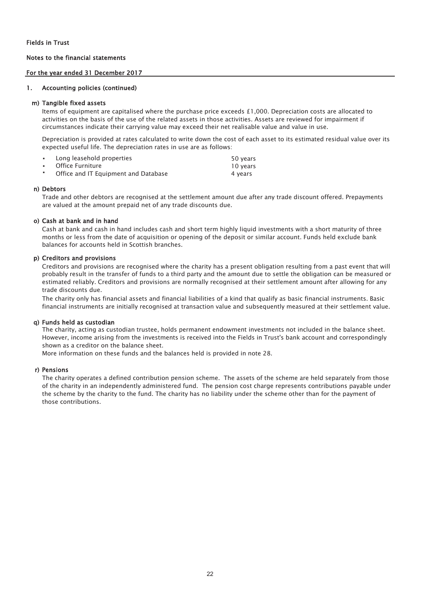#### For the year ended 31 December 2017

#### 1. Accounting policies (continued)

#### m) Tangible fixed assets

Items of equipment are capitalised where the purchase price exceeds £1,000. Depreciation costs are allocated to activities on the basis of the use of the related assets in those activities. Assets are reviewed for impairment if circumstances indicate their carrying value may exceed their net realisable value and value in use.

Depreciation is provided at rates calculated to write down the cost of each asset to its estimated residual value over its expected useful life. The depreciation rates in use are as follows:

| Long leasehold properties            | 50 years |
|--------------------------------------|----------|
| • Office Furniture                   | 10 years |
| Office and IT Equipment and Database | 4 vears  |

#### n) Debtors

Trade and other debtors are recognised at the settlement amount due after any trade discount offered. Prepayments are valued at the amount prepaid net of any trade discounts due.

#### o) Cash at bank and in hand

Cash at bank and cash in hand includes cash and short term highly liquid investments with a short maturity of three months or less from the date of acquisition or opening of the deposit or similar account. Funds held exclude bank balances for accounts held in Scottish branches.

#### p) Creditors and provisions

Creditors and provisions are recognised where the charity has a present obligation resulting from a past event that will probably result in the transfer of funds to a third party and the amount due to settle the obligation can be measured or estimated reliably. Creditors and provisions are normally recognised at their settlement amount after allowing for any trade discounts due.

The charity only has financial assets and financial liabilities of a kind that qualify as basic financial instruments. Basic financial instruments are initially recognised at transaction value and subsequently measured at their settlement value.

#### q) Funds held as custodian

The charity, acting as custodian trustee, holds permanent endowment investments not included in the balance sheet. However, income arising from the investments is received into the Fields in Trust's bank account and correspondingly shown as a creditor on the balance sheet.

More information on these funds and the balances held is provided in note 28.

#### r) Pensions

The charity operates a defined contribution pension scheme. The assets of the scheme are held separately from those of the charity in an independently administered fund. The pension cost charge represents contributions payable under the scheme by the charity to the fund. The charity has no liability under the scheme other than for the payment of those contributions.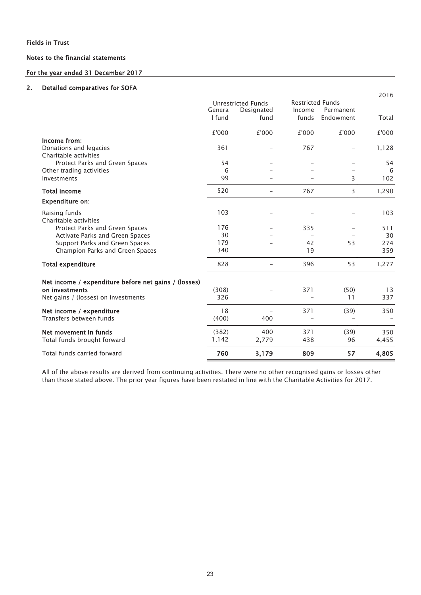#### Notes to the financial statements

#### For the year ended 31 December 2017

#### 2. Detailed comparatives for SOFA

|                                                                 |                | <b>Unrestricted Funds</b> | <b>Restricted Funds</b> |            | 2016         |
|-----------------------------------------------------------------|----------------|---------------------------|-------------------------|------------|--------------|
|                                                                 | Genera         | Designated                | Income                  | Permanent  |              |
|                                                                 | I fund         | fund                      | funds                   | Endowment  | Total        |
|                                                                 | £'000          | £'000                     | £'000                   | £'000      | £'000        |
| Income from:<br>Donations and legacies<br>Charitable activities | 361            |                           | 767                     |            | 1,128        |
| Protect Parks and Green Spaces                                  | 54             |                           |                         |            | 54           |
| Other trading activities                                        | 6              |                           |                         |            | 6            |
| Investments                                                     | 99             |                           |                         | 3          | 102          |
| <b>Total income</b>                                             | 520            |                           | 767                     | 3          | 1,290        |
| <b>Expenditure on:</b>                                          |                |                           |                         |            |              |
| Raising funds<br>Charitable activities                          | 103            |                           |                         |            | 103          |
| Protect Parks and Green Spaces                                  | 176            |                           | 335                     |            | 511          |
| Activate Parks and Green Spaces                                 | 30             |                           |                         |            | 30           |
| Support Parks and Green Spaces                                  | 179            |                           | 42                      | 53         | 274          |
| Champion Parks and Green Spaces                                 | 340            |                           | 19                      |            | 359          |
| <b>Total expenditure</b>                                        | 828            |                           | 396                     | 53         | 1,277        |
| Net income / expenditure before net gains / (losses)            |                |                           |                         |            |              |
| on investments                                                  | (308)          |                           | 371                     | (50)       | 13           |
| Net gains / (losses) on investments                             | 326            |                           |                         | 11         | 337          |
| Net income / expenditure                                        | 18             |                           | 371                     | (39)       | 350          |
| Transfers between funds                                         | (400)          | 400                       |                         |            |              |
| Net movement in funds<br>Total funds brought forward            | (382)<br>1,142 | 400<br>2,779              | 371<br>438              | (39)<br>96 | 350<br>4,455 |
| Total funds carried forward                                     | 760            | 3,179                     | 809                     | 57         | 4,805        |
|                                                                 |                |                           |                         |            |              |

All of the above results are derived from continuing activities. There were no other recognised gains or losses other than those stated above. The prior year figures have been restated in line with the Charitable Activities for 2017.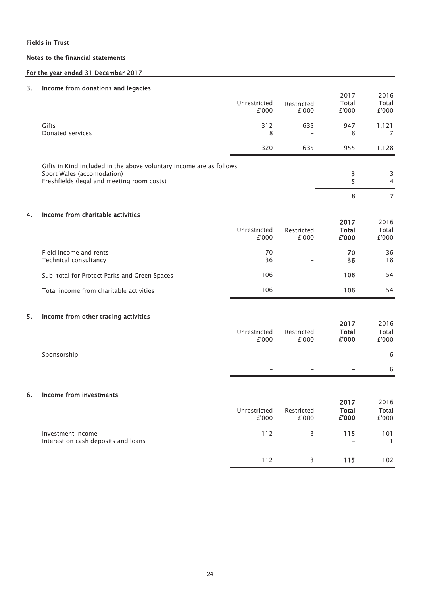4.

5.

#### Notes to the financial statements

#### For the year ended 31 December 2017

#### 3. Income from donations and legacies

|                                                                                                                                                 | Unrestricted<br>£'000 | Restricted<br>£'000      | 2017<br>Total<br>£'000        | 2016<br>Total<br>£'000  |
|-------------------------------------------------------------------------------------------------------------------------------------------------|-----------------------|--------------------------|-------------------------------|-------------------------|
| Gifts<br>Donated services                                                                                                                       | 312<br>8              | 635                      | 947<br>8                      | 1,121<br>$\overline{7}$ |
|                                                                                                                                                 | 320                   | 635                      | 955                           | 1,128                   |
| Gifts in Kind included in the above voluntary income are as follows<br>Sport Wales (accomodation)<br>Freshfields (legal and meeting room costs) |                       |                          | 3<br>5                        | 3<br>4                  |
|                                                                                                                                                 |                       |                          | 8                             | $\overline{7}$          |
| Income from charitable activities                                                                                                               | Unrestricted<br>£'000 | Restricted<br>£'000      | 2017<br><b>Total</b><br>£'000 | 2016<br>Total<br>£'000  |
| Field income and rents<br>Technical consultancy                                                                                                 | 70<br>36              |                          | 70<br>36                      | 36<br>18                |
| Sub-total for Protect Parks and Green Spaces                                                                                                    | 106                   | $\overline{\phantom{0}}$ | 106                           | 54                      |
| Total income from charitable activities                                                                                                         | 106                   |                          | 106                           | 54                      |
| Income from other trading activities                                                                                                            | Unrestricted<br>£'000 | Restricted<br>£'000      | 2017<br><b>Total</b><br>£'000 | 2016<br>Total<br>£'000  |
| Sponsorship                                                                                                                                     |                       |                          |                               | 6                       |
|                                                                                                                                                 |                       |                          |                               | 6                       |

#### 6. Income from investments

|                                     | Unrestricted<br>£'000    | Restricted<br>£'000      | 2017<br><b>Total</b><br>£'000 | 2016<br>Total<br>£'000 |
|-------------------------------------|--------------------------|--------------------------|-------------------------------|------------------------|
| Investment income                   | 112                      | 3.                       | 115                           | 101                    |
| Interest on cash deposits and loans | $\overline{\phantom{m}}$ | $\overline{\phantom{0}}$ |                               |                        |
|                                     | 112                      |                          | 115                           | 102                    |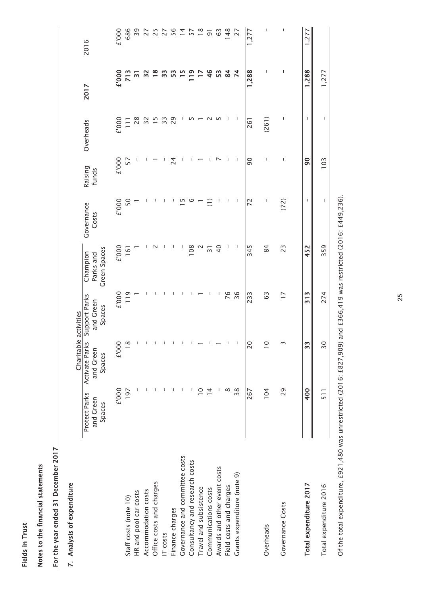Fields in Trust Fields in Trust

# Notes to the financial statements Notes to the financial statements

# For the year ended 31 December 2017 For the year ended 31 December 2017

# 7. Analysis of expenditure Analysis of expenditure

|                                |                                      | Charitabl                             | e activities                         |                                       |                     |                  |              |                |                          |
|--------------------------------|--------------------------------------|---------------------------------------|--------------------------------------|---------------------------------------|---------------------|------------------|--------------|----------------|--------------------------|
|                                | Protect Parks<br>and Green<br>Spaces | Activate Parks<br>and Green<br>Spaces | Support Parks<br>and Green<br>Spaces | Green Spaces<br>Champion<br>Parks and | Governance<br>Costs | Raising<br>funds | Overheads    | 2017           | 2016                     |
|                                | £'000                                | <b>E'000</b>                          | $E'000$                              | E'000                                 | £'000               | E'000            | <b>E'000</b> | £'000          | E'000                    |
| Staff costs (note 10)          | 197                                  | $\frac{8}{1}$                         | 119                                  | 161                                   | 50                  | 57               | Ξ            | 713            | 686                      |
| HR and pool car costs          |                                      |                                       |                                      |                                       |                     |                  | 28           | $\overline{5}$ | 39                       |
| Accommodation costs            |                                      |                                       |                                      |                                       |                     |                  |              | ကိ             |                          |
| Office costs and charges       |                                      |                                       |                                      |                                       |                     |                  |              |                |                          |
| IT costs                       |                                      |                                       |                                      |                                       |                     |                  | 33           |                |                          |
| Finance charges                |                                      |                                       |                                      |                                       |                     | 24               | 29           |                |                          |
| Governance and committee costs |                                      |                                       |                                      |                                       | L                   |                  |              |                |                          |
| Consultancy and research costs |                                      |                                       |                                      | 108                                   | ဖ                   |                  |              | $\frac{1}{2}$  | 57                       |
| Travel and subsistence         | $\circ$                              |                                       |                                      |                                       |                     |                  |              |                | $\frac{8}{18}$           |
| Communications costs           | 4                                    |                                       | ı                                    | $\overline{3}$                        | Ξ                   |                  |              | 46             | $\overline{5}$           |
| Awards and other event costs   | ı.                                   |                                       | I                                    | 40                                    |                     | ↖                | S            | 53             | 63                       |
| Field costs and charges        | $\infty$                             |                                       | 76                                   | I                                     | I                   |                  |              | 84             | 148                      |
| Grants expenditure (note 9)    | 38                                   |                                       | 36                                   | J                                     | I                   | ı                | J.           | 74             | 27                       |
|                                | 267                                  | $\frac{1}{2}$                         | 233                                  | 345                                   | 72                  | $\overline{0}$   | 261          | 1,288          | 1,277                    |
| Overheads                      | 104                                  |                                       | 63                                   | 84                                    | I                   | I                | (261)        | ı              | $\sf I$                  |
| <b>Covernance Costs</b>        | 29                                   |                                       | $\overline{1}$                       | 23                                    | (72)                | I                | I            | ı              | $\overline{\phantom{a}}$ |
| Total expenditure 2017         | 400                                  | ၮ                                     | 313                                  | 452                                   | T                   | $\infty$         | T            | 1,288          | .277                     |
| Total expenditure 2016         |                                      | $\frac{0}{2}$                         | 274                                  | 359                                   | T                   | 103              | ı            | 777            |                          |
|                                |                                      |                                       |                                      |                                       |                     |                  |              |                |                          |

Of the total expenditure, £921,480 was unrestricted (2016: £827,909) and £366,419 was restricted (2016: £449,236). Of the total expenditure, £921,480 was unrestricted (2016: £827,909) and £366,419 was restricted (2016: £449,236).

25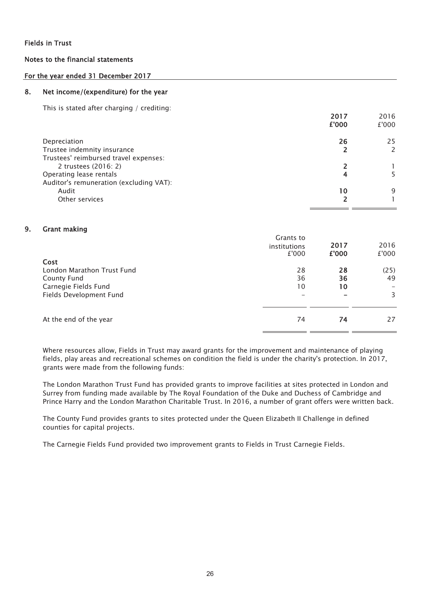#### Notes to the financial statements

#### For the year ended 31 December 2017

#### 8. Net income/(expenditure) for the year

This is stated after charging / crediting:

|                                         | 2017<br>£'000 | 2016<br>£'000 |
|-----------------------------------------|---------------|---------------|
| Depreciation                            | 26            | 25            |
| Trustee indemnity insurance             |               | $\mathcal{P}$ |
| Trustees' reimbursed travel expenses:   |               |               |
| 2 trustees (2016: 2)                    |               |               |
| Operating lease rentals                 |               |               |
| Auditor's remuneration (excluding VAT): |               |               |
| Audit                                   | 10            | 9             |
| Other services                          |               |               |
|                                         |               |               |

#### 9. Grant making

|                            | Grants to<br>institutions<br>£'000 | 2017<br>£'000 | 2016<br>£'000 |
|----------------------------|------------------------------------|---------------|---------------|
| Cost                       |                                    |               |               |
| London Marathon Trust Fund | 28                                 | 28            | (25)          |
| County Fund                | 36                                 | 36            | 49            |
| Carnegie Fields Fund       | 10                                 | 10            |               |
| Fields Development Fund    |                                    |               | 3             |
| At the end of the year     | 74                                 | 74            | 27            |

Where resources allow, Fields in Trust may award grants for the improvement and maintenance of playing fields, play areas and recreational schemes on condition the field is under the charity's protection. In 2017, grants were made from the following funds:

The London Marathon Trust Fund has provided grants to improve facilities at sites protected in London and Surrey from funding made available by The Royal Foundation of the Duke and Duchess of Cambridge and Prince Harry and the London Marathon Charitable Trust. In 2016, a number of grant offers were written back.

The County Fund provides grants to sites protected under the Queen Elizabeth II Challenge in defined counties for capital projects.

The Carnegie Fields Fund provided two improvement grants to Fields in Trust Carnegie Fields.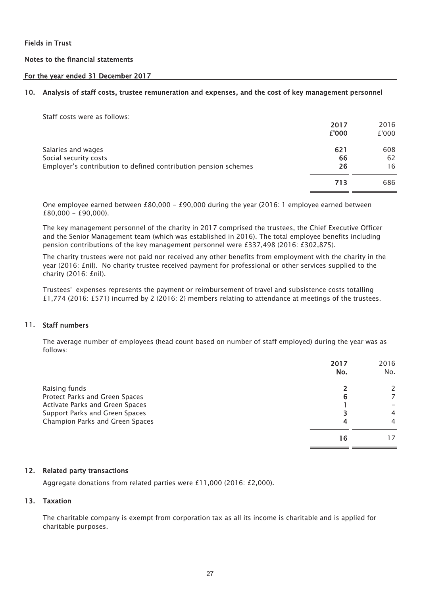#### For the year ended 31 December 2017

#### 10. Analysis of staff costs, trustee remuneration and expenses, and the cost of key management personnel

Staff costs were as follows:

|                                                                 | 2017<br>£'000 | 2016<br>£'000 |
|-----------------------------------------------------------------|---------------|---------------|
| Salaries and wages                                              | 621           | 608           |
| Social security costs                                           | 66            | 62            |
| Employer's contribution to defined contribution pension schemes | 26            | 16            |
|                                                                 | 713           | 686           |
|                                                                 |               |               |

One employee earned between  $£80,000 - £90,000$  during the year (2016: 1 employee earned between £80,000 - £90,000).

The key management personnel of the charity in 2017 comprised the trustees, the Chief Executive Officer and the Senior Management team (which was established in 2016). The total employee benefits including pension contributions of the key management personnel were £337,498 (2016: £302,875).

The charity trustees were not paid nor received any other benefits from employment with the charity in the year (2016: £nil). No charity trustee received payment for professional or other services supplied to the charity (2016: £nil).

Trustees' expenses represents the payment or reimbursement of travel and subsistence costs totalling £1,774 (2016: £571) incurred by 2 (2016: 2) members relating to attendance at meetings of the trustees.

#### 11. Staff numbers

The average number of employees (head count based on number of staff employed) during the year was as follows:

|                                        | 2017 | 2016 |
|----------------------------------------|------|------|
|                                        | No.  | No.  |
| Raising funds                          |      |      |
| Protect Parks and Green Spaces         | 6    |      |
| <b>Activate Parks and Green Spaces</b> |      |      |
| <b>Support Parks and Green Spaces</b>  |      | 4    |
| <b>Champion Parks and Green Spaces</b> |      | 4    |
|                                        | 16   |      |
|                                        |      |      |

#### 12. Related party transactions

Aggregate donations from related parties were £11,000 (2016: £2,000).

#### 13. Taxation

The charitable company is exempt from corporation tax as all its income is charitable and is applied for charitable purposes.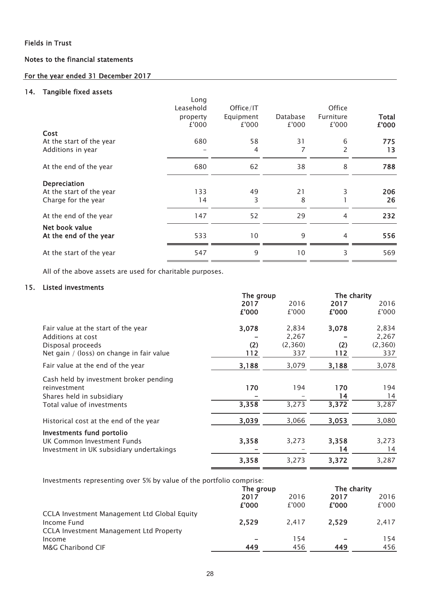### Notes to the financial statements

#### For the year ended 31 December 2017

#### 14. Tangible fixed assets

|                                          | Long<br>Leasehold<br>property<br>£'000 | Office/IT<br>Equipment<br>£'000 | Database<br>£'000 | Office<br>Furniture<br>£'000 | Total<br>£'000 |
|------------------------------------------|----------------------------------------|---------------------------------|-------------------|------------------------------|----------------|
| Cost                                     |                                        |                                 |                   |                              |                |
| At the start of the year                 | 680                                    | 58                              | 31                | 6                            | 775            |
| Additions in year                        |                                        | 4                               |                   | 2                            | 13             |
| At the end of the year                   | 680                                    | 62                              | 38                | 8                            | 788            |
| Depreciation                             |                                        |                                 |                   |                              |                |
| At the start of the year                 | 133                                    | 49                              | 21                | 3                            | 206            |
| Charge for the year                      | 14                                     | 3                               | 8                 |                              | 26             |
| At the end of the year                   | 147                                    | 52                              | 29                | $\overline{4}$               | 232            |
| Net book value<br>At the end of the year | 533                                    | 10                              | 9                 | 4                            | 556            |
| At the start of the year                 | 547                                    | 9                               | 10                | 3                            | 569            |

All of the above assets are used for charitable purposes.

#### 15. Listed investments

|                                           | The group |         | The charity |         |
|-------------------------------------------|-----------|---------|-------------|---------|
|                                           | 2017      | 2016    | 2017        | 2016    |
|                                           | £'000     | £'000   | £'000       | £'000   |
| Fair value at the start of the year       | 3,078     | 2,834   | 3,078       | 2,834   |
| Additions at cost                         |           | 2,267   |             | 2,267   |
| Disposal proceeds                         | (2)       | (2,360) | (2)         | (2,360) |
| Net gain / (loss) on change in fair value | 112       | 337     | 112         | 337     |
| Fair value at the end of the year         | 3,188     | 3,079   | 3,188       | 3,078   |
| Cash held by investment broker pending    |           |         |             |         |
| reinvestment                              | 170       | 194     | 170         | 194     |
| Shares held in subsidiary                 |           |         | 14          | 14      |
| Total value of investments                | 3,358     | 3,273   | 3,372       | 3,287   |
| Historical cost at the end of the year    | 3,039     | 3,066   | 3,053       | 3,080   |
| Investments fund portolio                 |           |         |             |         |
| UK Common Investment Funds                | 3,358     | 3,273   | 3,358       | 3,273   |
| Investment in UK subsidiary undertakings  |           |         | 14          | 14      |
|                                           | 3,358     | 3,273   | 3,372       | 3,287   |

Investments representing over 5% by value of the portfolio comprise:

|                                              |       | The group |                          | The charity |  |
|----------------------------------------------|-------|-----------|--------------------------|-------------|--|
|                                              | 2017  | 2016      | 2017                     | 2016        |  |
|                                              | £'000 | £'000     | £'000                    | £'000       |  |
| CCLA Investment Management Ltd Global Equity |       |           |                          |             |  |
| Income Fund                                  | 2,529 | 2.417     | 2.529                    | 2.417       |  |
| CCLA Investment Management Ltd Property      |       |           |                          |             |  |
| Income                                       |       | 154       | $\overline{\phantom{0}}$ | 154         |  |
| M&G Charibond CIF                            | 449   | 456       | 449                      | 456         |  |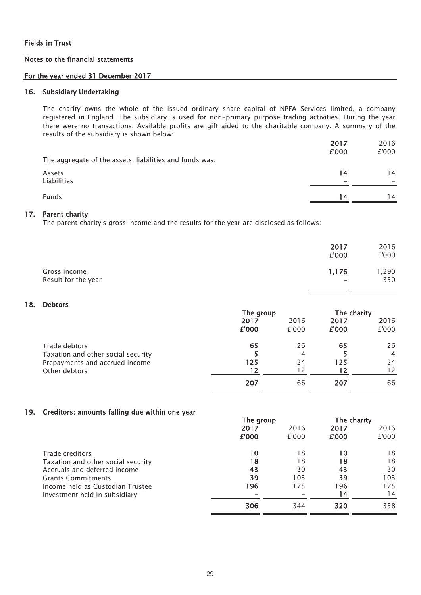#### Notes to the financial statements

#### For the year ended 31 December 2017

#### 16. Subsidiary Undertaking

The charity owns the whole of the issued ordinary share capital of NPFA Services limited, a company registered in England. The subsidiary is used for non-primary purpose trading activities. During the year there were no transactions. Available profits are gift aided to the charitable company. A summary of the results of the subsidiary is shown below:

| The aggregate of the assets, liabilities and funds was: | 2017<br>£'000 | 2016<br>£'000 |
|---------------------------------------------------------|---------------|---------------|
| Assets<br>Liabilities                                   | 14<br>-       | 14            |
| Funds                                                   | 14            | 14            |
|                                                         |               |               |

#### 17. Parent charity

The parent charity's gross income and the results for the year are disclosed as follows:

|                     | 2017<br>£'000            | 2016<br>£'000 |
|---------------------|--------------------------|---------------|
| Gross income        | 1,176                    | 1,290         |
| Result for the year | $\overline{\phantom{a}}$ | 350           |

#### 18. Debtors

|                                    | The group |       | The charity |                |
|------------------------------------|-----------|-------|-------------|----------------|
|                                    | 2017      | 2016  | 2017        | 2016           |
|                                    | £'000     | £'000 | £'000       | £'000          |
| Trade debtors                      | 65        | 26    | 65          | 26             |
| Taxation and other social security |           | 4     | 5           | $\overline{4}$ |
| Prepayments and accrued income     | 125       | 24    | 125         | 24             |
| Other debtors                      | 12        | 12    | 12          | 12             |
|                                    | 207       | 66    | 207         | 66             |

#### 19. Creditors: amounts falling due within one year

|                                    | The group |       | The charity |       |
|------------------------------------|-----------|-------|-------------|-------|
|                                    | 2017      | 2016  | 2017        | 2016  |
|                                    | £'000     | £'000 | £'000       | £'000 |
| Trade creditors                    | 10        | 18    | 10          | 18    |
| Taxation and other social security | 18        | 18    | 18          | 18    |
| Accruals and deferred income       | 43        | 30    | 43          | 30    |
| <b>Grants Commitments</b>          | 39        | 103   | 39          | 103   |
| Income held as Custodian Trustee   | 196       | 175   | 196         | 175   |
| Investment held in subsidiary      |           |       | 14          | 14    |
|                                    | 306       | 344   | 320         | 358   |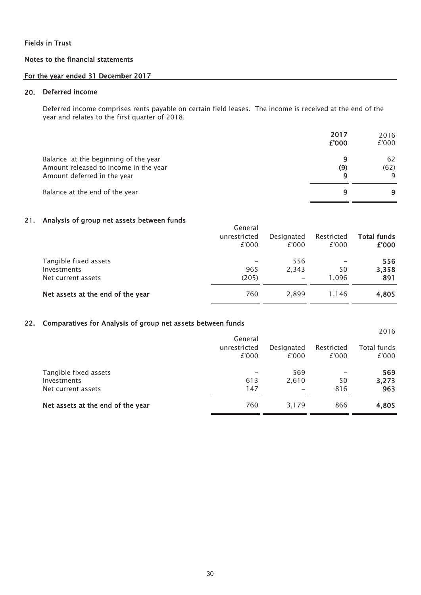#### Notes to the financial statements

#### For the year ended 31 December 2017

#### 20. Deferred income

Deferred income comprises rents payable on certain field leases. The income is received at the end of the year and relates to the first quarter of 2018.

|                                                                                                              | 2017<br>£'000 | 2016<br>£'000   |
|--------------------------------------------------------------------------------------------------------------|---------------|-----------------|
| Balance at the beginning of the year<br>Amount released to income in the year<br>Amount deferred in the year | 9<br>(9)<br>9 | 62<br>(62)<br>9 |
| Balance at the end of the year                                                                               | q             | 9               |

#### 21. Analysis of group net assets between funds

|                                                            | General<br>unrestricted<br>£'000 | Designated<br>£'000 | Restricted<br>£'000 | <b>Total funds</b><br>£'000 |
|------------------------------------------------------------|----------------------------------|---------------------|---------------------|-----------------------------|
| Tangible fixed assets<br>Investments<br>Net current assets | -<br>965<br>(205)                | 556<br>2.343<br>-   | 50<br>1.096         | 556<br>3,358<br>891         |
| Net assets at the end of the year                          | 760                              | 2.899               | 1.146               | 4,805                       |

#### 22. Comparatives for Analysis of group net assets between funds

|                                   | General               |                          |                     | 2016                 |
|-----------------------------------|-----------------------|--------------------------|---------------------|----------------------|
|                                   | unrestricted<br>£'000 | Designated<br>£'000      | Restricted<br>£'000 | Total funds<br>£'000 |
| Tangible fixed assets             |                       | 569                      |                     | 569                  |
| Investments                       | 613                   | 2.610                    | 50                  | 3,273                |
| Net current assets                | 147                   | $\overline{\phantom{m}}$ | 816                 | 963                  |
| Net assets at the end of the year | 760                   | 3,179                    | 866                 | 4,805                |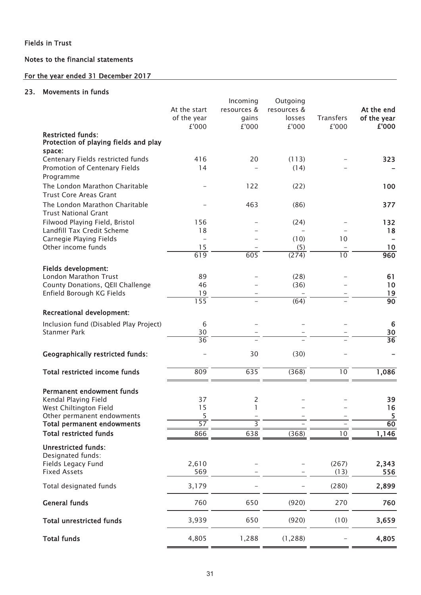# Notes to the financial statements

# For the year ended 31 December 2017

#### 23. Movements in funds

|                                                                 |                          | Incoming       | Outgoing        |                    |                      |
|-----------------------------------------------------------------|--------------------------|----------------|-----------------|--------------------|----------------------|
|                                                                 | At the start             | resources &    | resources &     |                    | At the end           |
|                                                                 | of the year<br>£'000     | gains<br>£'000 | losses<br>£'000 | Transfers<br>£'000 | of the year<br>£'000 |
| <b>Restricted funds:</b>                                        |                          |                |                 |                    |                      |
| Protection of playing fields and play<br>space:                 |                          |                |                 |                    |                      |
| Centenary Fields restricted funds                               | 416                      | 20             | (113)           |                    | 323                  |
| Promotion of Centenary Fields<br>Programme                      | 14                       |                | (14)            |                    |                      |
| The London Marathon Charitable<br><b>Trust Core Areas Grant</b> |                          | 122            | (22)            |                    | 100                  |
| The London Marathon Charitable<br><b>Trust National Grant</b>   |                          | 463            | (86)            |                    | 377                  |
| Filwood Playing Field, Bristol                                  | 156                      |                | (24)            |                    | 132                  |
| Landfill Tax Credit Scheme                                      | 18                       |                |                 |                    | 18                   |
| Carnegie Playing Fields                                         | $\overline{\phantom{0}}$ |                | (10)            | 10                 |                      |
| Other income funds                                              | 15<br>619                | 605            | (5)<br>(274)    | $\overline{10}$    | 10<br>960            |
|                                                                 |                          |                |                 |                    |                      |
| Fields development:                                             |                          |                |                 |                    |                      |
| London Marathon Trust                                           | 89                       |                | (28)            |                    | 61                   |
| County Donations, QEII Challenge                                | 46                       |                | (36)            |                    | 10                   |
| Enfield Borough KG Fields                                       | 19                       |                |                 |                    | 19                   |
|                                                                 | 155                      |                | (64)            |                    | $\overline{90}$      |
| Recreational development:                                       |                          |                |                 |                    |                      |
| Inclusion fund (Disabled Play Project)                          | 6                        |                |                 |                    | 6                    |
| <b>Stanmer Park</b>                                             | 30                       |                |                 |                    | 30                   |
|                                                                 | $\overline{36}$          |                |                 |                    | $\overline{36}$      |
| <b>Geographically restricted funds:</b>                         |                          | 30             | (30)            |                    |                      |
| <b>Total restricted income funds</b>                            | 809                      | 635            | (368)           | 10                 | 1,086                |
| <b>Permanent endowment funds</b>                                |                          |                |                 |                    |                      |
| Kendal Playing Field                                            | 37                       | 2              |                 |                    | 39                   |
| West Chiltington Field                                          | 15                       | 1              |                 |                    | 16                   |
| Other permanent endowments                                      | 5                        |                |                 |                    | 5                    |
| <b>Total permanent endowments</b>                               | $\overline{57}$          | $\overline{3}$ |                 |                    | 60                   |
| <b>Total restricted funds</b>                                   | 866                      | 638            | (368)           | 10                 | 1,146                |
| <b>Unrestricted funds:</b><br>Designated funds:                 |                          |                |                 |                    |                      |
| Fields Legacy Fund                                              | 2,610                    |                |                 | (267)              | 2,343                |
| <b>Fixed Assets</b>                                             | 569                      |                |                 | (13)               | 556                  |
| Total designated funds                                          | 3,179                    |                |                 | (280)              | 2,899                |
| <b>General funds</b>                                            | 760                      | 650            | (920)           | 270                | 760                  |
| <b>Total unrestricted funds</b>                                 | 3,939                    | 650            | (920)           | (10)               | 3,659                |
| <b>Total funds</b>                                              | 4,805                    | 1,288          | (1, 288)        |                    | 4,805                |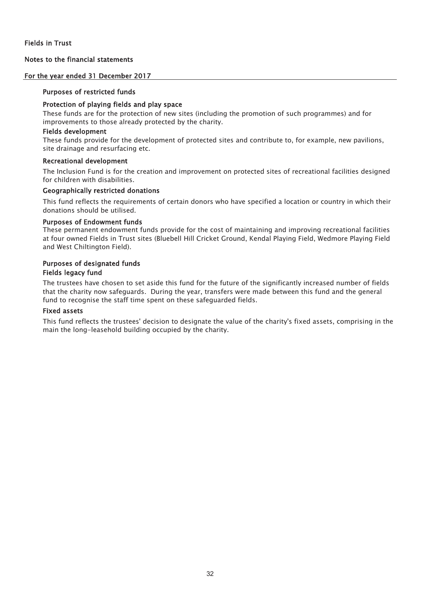#### For the year ended 31 December 2017

#### Purposes of restricted funds

#### Protection of playing fields and play space

These funds are for the protection of new sites (including the promotion of such programmes) and for improvements to those already protected by the charity.

#### Fields development

These funds provide for the development of protected sites and contribute to, for example, new pavilions, site drainage and resurfacing etc.

#### Recreational development

The Inclusion Fund is for the creation and improvement on protected sites of recreational facilities designed for children with disabilities.

#### Geographically restricted donations

This fund reflects the requirements of certain donors who have specified a location or country in which their donations should be utilised.

#### Purposes of Endowment funds

These permanent endowment funds provide for the cost of maintaining and improving recreational facilities at four owned Fields in Trust sites (Bluebell Hill Cricket Ground, Kendal Playing Field, Wedmore Playing Field and West Chiltington Field).

#### Purposes of designated funds Fields legacy fund

The trustees have chosen to set aside this fund for the future of the significantly increased number of fields that the charity now safeguards. During the year, transfers were made between this fund and the general fund to recognise the staff time spent on these safeguarded fields.

#### Fixed assets

This fund reflects the trustees' decision to designate the value of the charity's fixed assets, comprising in the main the long-leasehold building occupied by the charity.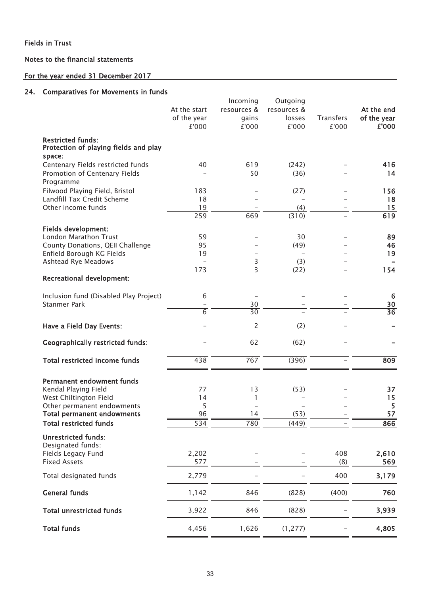### Notes to the financial statements

# For the year ended 31 December 2017

#### 24. Comparatives for Movements in funds

|                                         |                 | Incoming        | Outgoing                 |           |                 |
|-----------------------------------------|-----------------|-----------------|--------------------------|-----------|-----------------|
|                                         | At the start    | resources &     | resources &              |           | At the end      |
|                                         | of the year     | gains           | losses                   | Transfers | of the year     |
|                                         | £'000           | £'000           | £'000                    | £'000     | £'000           |
|                                         |                 |                 |                          |           |                 |
| <b>Restricted funds:</b>                |                 |                 |                          |           |                 |
| Protection of playing fields and play   |                 |                 |                          |           |                 |
| space:                                  |                 |                 |                          |           |                 |
| Centenary Fields restricted funds       | 40              | 619             | (242)                    |           | 416             |
| Promotion of Centenary Fields           |                 | 50              | (36)                     |           | 14              |
| Programme                               |                 |                 |                          |           |                 |
| Filwood Playing Field, Bristol          | 183             |                 | (27)                     |           | 156             |
| Landfill Tax Credit Scheme              | 18              |                 |                          |           | 18              |
| Other income funds                      | 19              |                 | (4)                      |           | 15              |
|                                         | 259             | 669             | (310)                    |           | 619             |
|                                         |                 |                 |                          |           |                 |
| <b>Fields development:</b>              |                 |                 |                          |           |                 |
| London Marathon Trust                   | 59              |                 | 30                       |           | 89              |
| County Donations, QEII Challenge        | 95              |                 | (49)                     |           | 46              |
| Enfield Borough KG Fields               | 19              |                 | $\overline{\phantom{0}}$ |           | 19              |
| Ashtead Rye Meadows                     |                 | 3               | (3)                      |           |                 |
|                                         | 173             | $\overline{3}$  | (22)                     |           | 154             |
| <b>Recreational development:</b>        |                 |                 |                          |           |                 |
|                                         |                 |                 |                          |           |                 |
|                                         |                 |                 |                          |           |                 |
| Inclusion fund (Disabled Play Project)  | 6               |                 |                          |           | $6\phantom{1}6$ |
| <b>Stanmer Park</b>                     |                 | 30              |                          |           | 30              |
|                                         | $\overline{6}$  | $\overline{30}$ |                          |           | $\overline{36}$ |
| Have a Field Day Events:                |                 | 2               | (2)                      |           |                 |
|                                         |                 |                 |                          |           |                 |
|                                         |                 | 62              | (62)                     |           |                 |
| <b>Geographically restricted funds:</b> |                 |                 |                          |           |                 |
|                                         |                 |                 |                          |           |                 |
| <b>Total restricted income funds</b>    | 438             | 767             | (396)                    |           | 809             |
|                                         |                 |                 |                          |           |                 |
| <b>Permanent endowment funds</b>        |                 |                 |                          |           |                 |
| Kendal Playing Field                    | 77              | 13              | (53)                     |           | 37              |
| West Chiltington Field                  | 14              | 1               |                          |           | 15              |
| Other permanent endowments              | 5               |                 |                          |           | 5               |
| <b>Total permanent endowments</b>       | $\overline{96}$ | 14              | (53)                     |           | $\overline{57}$ |
|                                         |                 |                 |                          |           |                 |
| <b>Total restricted funds</b>           | 534             | 780             | (449)                    |           | 866             |
| <b>Unrestricted funds:</b>              |                 |                 |                          |           |                 |
| Designated funds:                       |                 |                 |                          |           |                 |
|                                         | 2,202           |                 |                          | 408       |                 |
| Fields Legacy Fund                      |                 |                 |                          |           | 2,610           |
| <b>Fixed Assets</b>                     | 577             |                 |                          | (8)       | 569             |
| Total designated funds                  | 2,779           |                 |                          | 400       | 3,179           |
|                                         |                 |                 |                          |           |                 |
| <b>General funds</b>                    |                 | 846             | (828)                    | (400)     | 760             |
|                                         | 1,142           |                 |                          |           |                 |
|                                         |                 |                 |                          |           |                 |
| <b>Total unrestricted funds</b>         | 3,922           | 846             | (828)                    |           | 3,939           |
|                                         |                 |                 |                          |           |                 |
| <b>Total funds</b>                      | 4,456           | 1,626           | (1, 277)                 |           | 4,805           |
|                                         |                 |                 |                          |           |                 |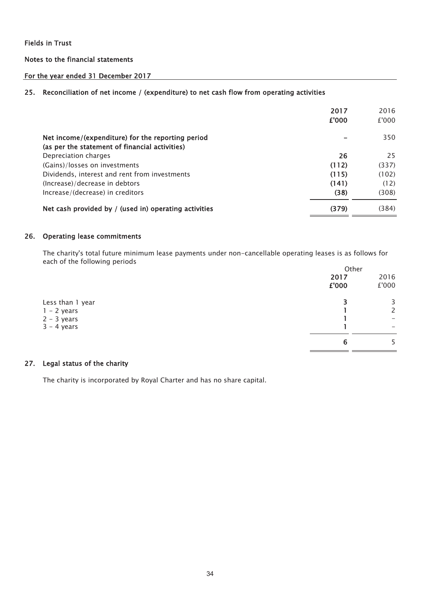#### Notes to the financial statements

#### For the year ended 31 December 2017

#### 25. Reconciliation of net income / (expenditure) to net cash flow from operating activities

|                                                                                                     | 2017<br>£'000 | 2016<br>£'000 |
|-----------------------------------------------------------------------------------------------------|---------------|---------------|
| Net income/(expenditure) for the reporting period<br>(as per the statement of financial activities) |               | 350           |
| Depreciation charges                                                                                | 26            | 25            |
| (Gains)/losses on investments                                                                       | (112)         | (337)         |
| Dividends, interest and rent from investments                                                       | (115)         | (102)         |
| (Increase)/decrease in debtors                                                                      | (141)         | (12)          |
| Increase/(decrease) in creditors                                                                    | (38)          | (308)         |
| Net cash provided by / (used in) operating activities                                               | (379)         | (384)         |

#### 26. Operating lease commitments

The charity's total future minimum lease payments under non-cancellable operating leases is as follows for each of the following periods

| Other         |                          |
|---------------|--------------------------|
| 2017<br>£'000 | 2016<br>£'000            |
| 3             | 3                        |
|               | 2                        |
|               | -                        |
|               | $\overline{\phantom{m}}$ |
| 6             |                          |
|               |                          |

#### 27. Legal status of the charity

The charity is incorporated by Royal Charter and has no share capital.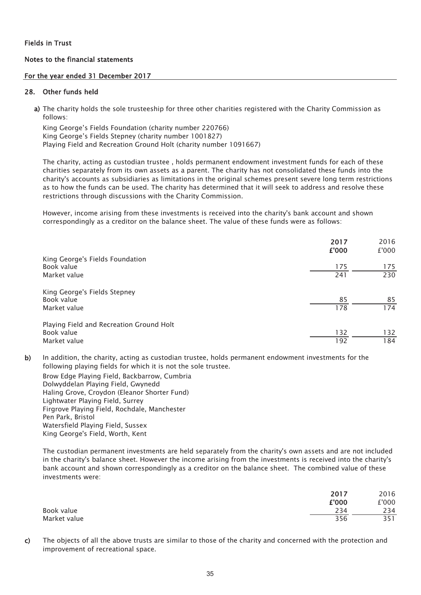#### For the year ended 31 December 2017

#### 28. Other funds held

a) The charity holds the sole trusteeship for three other charities registered with the Charity Commission as follows:

King George's Fields Foundation (charity number 220766) King George's Fields Stepney (charity number 1001827) Playing Field and Recreation Ground Holt (charity number 1091667)

The charity, acting as custodian trustee , holds permanent endowment investment funds for each of these charities separately from its own assets as a parent. The charity has not consolidated these funds into the charity's accounts as subsidiaries as limitations in the original schemes present severe long term restrictions as to how the funds can be used. The charity has determined that it will seek to address and resolve these restrictions through discussions with the Charity Commission.

However, income arising from these investments is received into the charity's bank account and shown correspondingly as a creditor on the balance sheet. The value of these funds were as follows:

|                                                        | 2017  | 2016  |
|--------------------------------------------------------|-------|-------|
| King George's Fields Foundation                        | £'000 | £'000 |
| Book value                                             | 175   | 175   |
| Market value                                           | 241   | 230   |
| King George's Fields Stepney                           |       |       |
| Book value                                             | 85    | 85    |
| Market value                                           | 178   | 174   |
|                                                        |       |       |
| Playing Field and Recreation Ground Holt<br>Book value | 132   | 132   |
|                                                        |       |       |
| Market value                                           | 192   | 184   |

b) Dolwyddelan Playing Field, Gwynedd Haling Grove, Croydon (Eleanor Shorter Fund) Lightwater Playing Field, Surrey Firgrove Playing Field, Rochdale, Manchester Pen Park, Bristol Watersfield Playing Field, Sussex King George's Field, Worth, Kent Brow Edge Playing Field, Backbarrow, Cumbria In addition, the charity, acting as custodian trustee, holds permanent endowment investments for the following playing fields for which it is not the sole trustee.

The custodian permanent investments are held separately from the charity's own assets and are not included in the charity's balance sheet. However the income arising from the investments is received into the charity's bank account and shown correspondingly as a creditor on the balance sheet. The combined value of these investments were:

|              | 2017  | 2016  |
|--------------|-------|-------|
|              | £'000 | £'000 |
| Book value   | 234   | 234   |
| Market value | 356   | 351   |

c) The objects of all the above trusts are similar to those of the charity and concerned with the protection and improvement of recreational space.